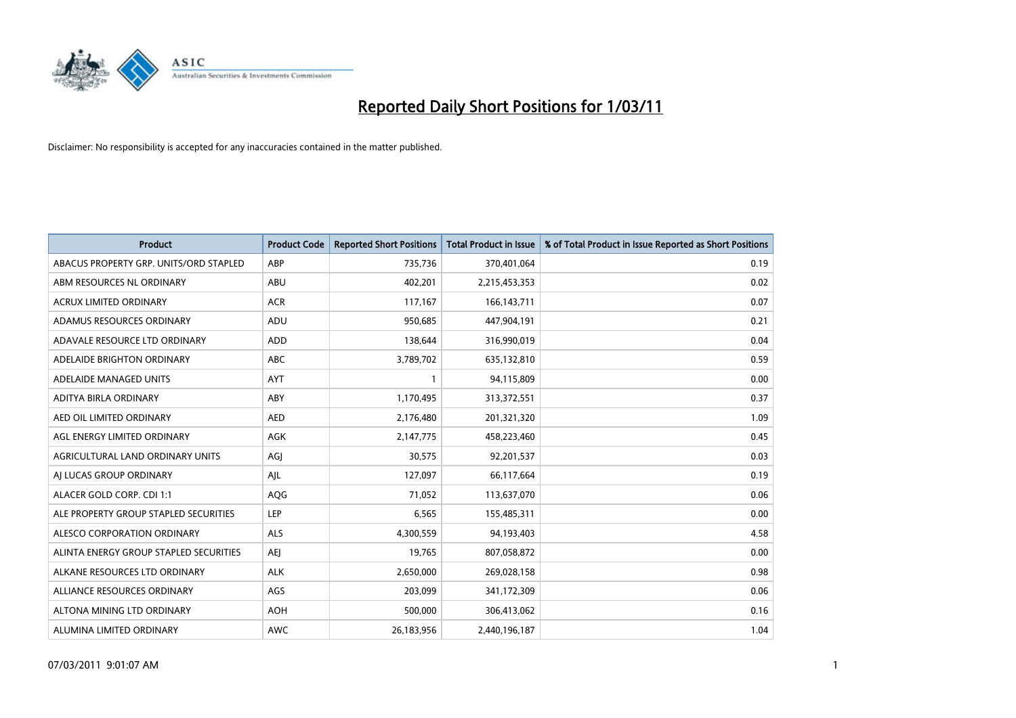

| <b>Product</b>                         | <b>Product Code</b> | <b>Reported Short Positions</b> | <b>Total Product in Issue</b> | % of Total Product in Issue Reported as Short Positions |
|----------------------------------------|---------------------|---------------------------------|-------------------------------|---------------------------------------------------------|
| ABACUS PROPERTY GRP. UNITS/ORD STAPLED | ABP                 | 735,736                         | 370,401,064                   | 0.19                                                    |
| ABM RESOURCES NL ORDINARY              | <b>ABU</b>          | 402,201                         | 2,215,453,353                 | 0.02                                                    |
| <b>ACRUX LIMITED ORDINARY</b>          | <b>ACR</b>          | 117,167                         | 166, 143, 711                 | 0.07                                                    |
| ADAMUS RESOURCES ORDINARY              | ADU                 | 950,685                         | 447,904,191                   | 0.21                                                    |
| ADAVALE RESOURCE LTD ORDINARY          | <b>ADD</b>          | 138,644                         | 316,990,019                   | 0.04                                                    |
| ADELAIDE BRIGHTON ORDINARY             | <b>ABC</b>          | 3,789,702                       | 635,132,810                   | 0.59                                                    |
| ADELAIDE MANAGED UNITS                 | <b>AYT</b>          |                                 | 94,115,809                    | 0.00                                                    |
| ADITYA BIRLA ORDINARY                  | ABY                 | 1,170,495                       | 313,372,551                   | 0.37                                                    |
| AED OIL LIMITED ORDINARY               | <b>AED</b>          | 2,176,480                       | 201,321,320                   | 1.09                                                    |
| AGL ENERGY LIMITED ORDINARY            | <b>AGK</b>          | 2,147,775                       | 458,223,460                   | 0.45                                                    |
| AGRICULTURAL LAND ORDINARY UNITS       | AGJ                 | 30,575                          | 92,201,537                    | 0.03                                                    |
| AI LUCAS GROUP ORDINARY                | AJL                 | 127,097                         | 66,117,664                    | 0.19                                                    |
| ALACER GOLD CORP. CDI 1:1              | AQG                 | 71,052                          | 113,637,070                   | 0.06                                                    |
| ALE PROPERTY GROUP STAPLED SECURITIES  | LEP                 | 6,565                           | 155,485,311                   | 0.00                                                    |
| ALESCO CORPORATION ORDINARY            | <b>ALS</b>          | 4,300,559                       | 94,193,403                    | 4.58                                                    |
| ALINTA ENERGY GROUP STAPLED SECURITIES | <b>AEI</b>          | 19,765                          | 807,058,872                   | 0.00                                                    |
| ALKANE RESOURCES LTD ORDINARY          | <b>ALK</b>          | 2,650,000                       | 269,028,158                   | 0.98                                                    |
| ALLIANCE RESOURCES ORDINARY            | AGS                 | 203,099                         | 341,172,309                   | 0.06                                                    |
| ALTONA MINING LTD ORDINARY             | <b>AOH</b>          | 500,000                         | 306,413,062                   | 0.16                                                    |
| ALUMINA LIMITED ORDINARY               | <b>AWC</b>          | 26,183,956                      | 2,440,196,187                 | 1.04                                                    |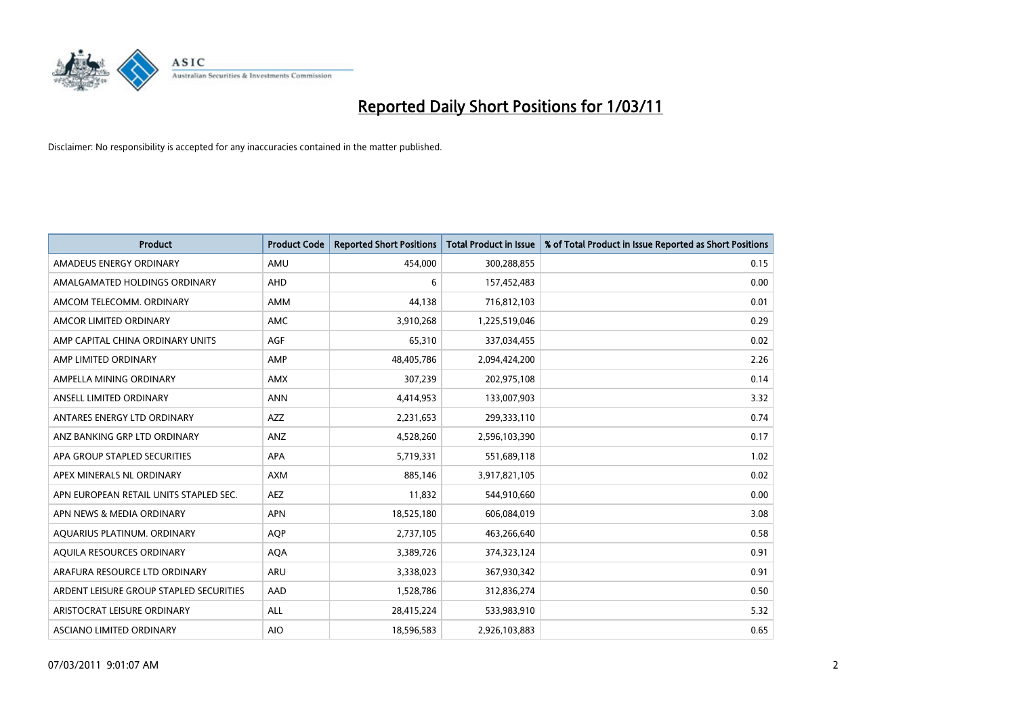

| <b>Product</b>                          | <b>Product Code</b> | <b>Reported Short Positions</b> | Total Product in Issue | % of Total Product in Issue Reported as Short Positions |
|-----------------------------------------|---------------------|---------------------------------|------------------------|---------------------------------------------------------|
| AMADEUS ENERGY ORDINARY                 | AMU                 | 454,000                         | 300,288,855            | 0.15                                                    |
| AMALGAMATED HOLDINGS ORDINARY           | AHD                 | 6                               | 157,452,483            | 0.00                                                    |
| AMCOM TELECOMM. ORDINARY                | <b>AMM</b>          | 44,138                          | 716,812,103            | 0.01                                                    |
| AMCOR LIMITED ORDINARY                  | <b>AMC</b>          | 3,910,268                       | 1,225,519,046          | 0.29                                                    |
| AMP CAPITAL CHINA ORDINARY UNITS        | <b>AGF</b>          | 65,310                          | 337,034,455            | 0.02                                                    |
| AMP LIMITED ORDINARY                    | AMP                 | 48,405,786                      | 2,094,424,200          | 2.26                                                    |
| AMPELLA MINING ORDINARY                 | <b>AMX</b>          | 307,239                         | 202,975,108            | 0.14                                                    |
| ANSELL LIMITED ORDINARY                 | <b>ANN</b>          | 4,414,953                       | 133,007,903            | 3.32                                                    |
| ANTARES ENERGY LTD ORDINARY             | <b>AZZ</b>          | 2,231,653                       | 299,333,110            | 0.74                                                    |
| ANZ BANKING GRP LTD ORDINARY            | ANZ                 | 4,528,260                       | 2,596,103,390          | 0.17                                                    |
| APA GROUP STAPLED SECURITIES            | <b>APA</b>          | 5,719,331                       | 551,689,118            | 1.02                                                    |
| APEX MINERALS NL ORDINARY               | <b>AXM</b>          | 885.146                         | 3,917,821,105          | 0.02                                                    |
| APN EUROPEAN RETAIL UNITS STAPLED SEC.  | <b>AEZ</b>          | 11,832                          | 544,910,660            | 0.00                                                    |
| APN NEWS & MEDIA ORDINARY               | <b>APN</b>          | 18,525,180                      | 606,084,019            | 3.08                                                    |
| AQUARIUS PLATINUM. ORDINARY             | <b>AOP</b>          | 2,737,105                       | 463,266,640            | 0.58                                                    |
| AQUILA RESOURCES ORDINARY               | <b>AQA</b>          | 3,389,726                       | 374,323,124            | 0.91                                                    |
| ARAFURA RESOURCE LTD ORDINARY           | <b>ARU</b>          | 3,338,023                       | 367,930,342            | 0.91                                                    |
| ARDENT LEISURE GROUP STAPLED SECURITIES | AAD                 | 1,528,786                       | 312,836,274            | 0.50                                                    |
| ARISTOCRAT LEISURE ORDINARY             | <b>ALL</b>          | 28,415,224                      | 533,983,910            | 5.32                                                    |
| ASCIANO LIMITED ORDINARY                | <b>AIO</b>          | 18,596,583                      | 2,926,103,883          | 0.65                                                    |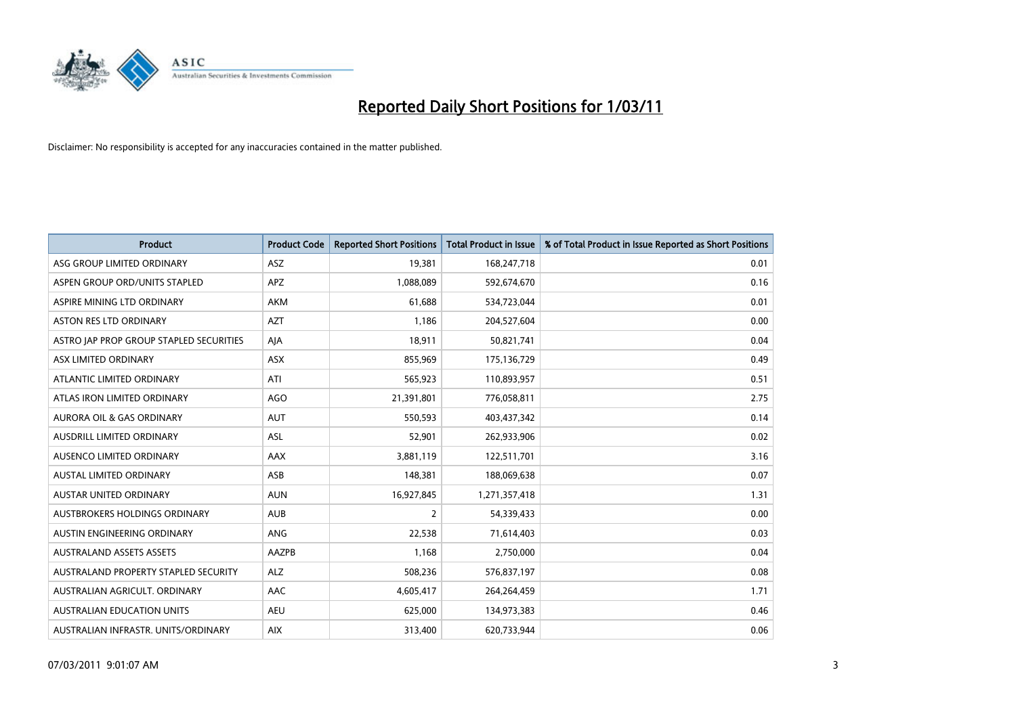

| <b>Product</b>                          | <b>Product Code</b> | <b>Reported Short Positions</b> | <b>Total Product in Issue</b> | % of Total Product in Issue Reported as Short Positions |
|-----------------------------------------|---------------------|---------------------------------|-------------------------------|---------------------------------------------------------|
| ASG GROUP LIMITED ORDINARY              | ASZ                 | 19,381                          | 168,247,718                   | 0.01                                                    |
| ASPEN GROUP ORD/UNITS STAPLED           | APZ                 | 1,088,089                       | 592,674,670                   | 0.16                                                    |
| ASPIRE MINING LTD ORDINARY              | <b>AKM</b>          | 61,688                          | 534,723,044                   | 0.01                                                    |
| ASTON RES LTD ORDINARY                  | <b>AZT</b>          | 1,186                           | 204,527,604                   | 0.00                                                    |
| ASTRO JAP PROP GROUP STAPLED SECURITIES | AJA                 | 18,911                          | 50,821,741                    | 0.04                                                    |
| ASX LIMITED ORDINARY                    | <b>ASX</b>          | 855,969                         | 175,136,729                   | 0.49                                                    |
| ATLANTIC LIMITED ORDINARY               | ATI                 | 565,923                         | 110,893,957                   | 0.51                                                    |
| ATLAS IRON LIMITED ORDINARY             | AGO                 | 21,391,801                      | 776,058,811                   | 2.75                                                    |
| AURORA OIL & GAS ORDINARY               | <b>AUT</b>          | 550,593                         | 403,437,342                   | 0.14                                                    |
| AUSDRILL LIMITED ORDINARY               | <b>ASL</b>          | 52,901                          | 262,933,906                   | 0.02                                                    |
| AUSENCO LIMITED ORDINARY                | AAX                 | 3,881,119                       | 122,511,701                   | 3.16                                                    |
| AUSTAL LIMITED ORDINARY                 | ASB                 | 148,381                         | 188,069,638                   | 0.07                                                    |
| <b>AUSTAR UNITED ORDINARY</b>           | <b>AUN</b>          | 16,927,845                      | 1,271,357,418                 | 1.31                                                    |
| AUSTBROKERS HOLDINGS ORDINARY           | <b>AUB</b>          | 2                               | 54,339,433                    | 0.00                                                    |
| AUSTIN ENGINEERING ORDINARY             | ANG                 | 22,538                          | 71,614,403                    | 0.03                                                    |
| <b>AUSTRALAND ASSETS ASSETS</b>         | <b>AAZPB</b>        | 1.168                           | 2,750,000                     | 0.04                                                    |
| AUSTRALAND PROPERTY STAPLED SECURITY    | <b>ALZ</b>          | 508,236                         | 576,837,197                   | 0.08                                                    |
| AUSTRALIAN AGRICULT. ORDINARY           | AAC                 | 4,605,417                       | 264,264,459                   | 1.71                                                    |
| AUSTRALIAN EDUCATION UNITS              | <b>AEU</b>          | 625,000                         | 134,973,383                   | 0.46                                                    |
| AUSTRALIAN INFRASTR. UNITS/ORDINARY     | <b>AIX</b>          | 313,400                         | 620,733,944                   | 0.06                                                    |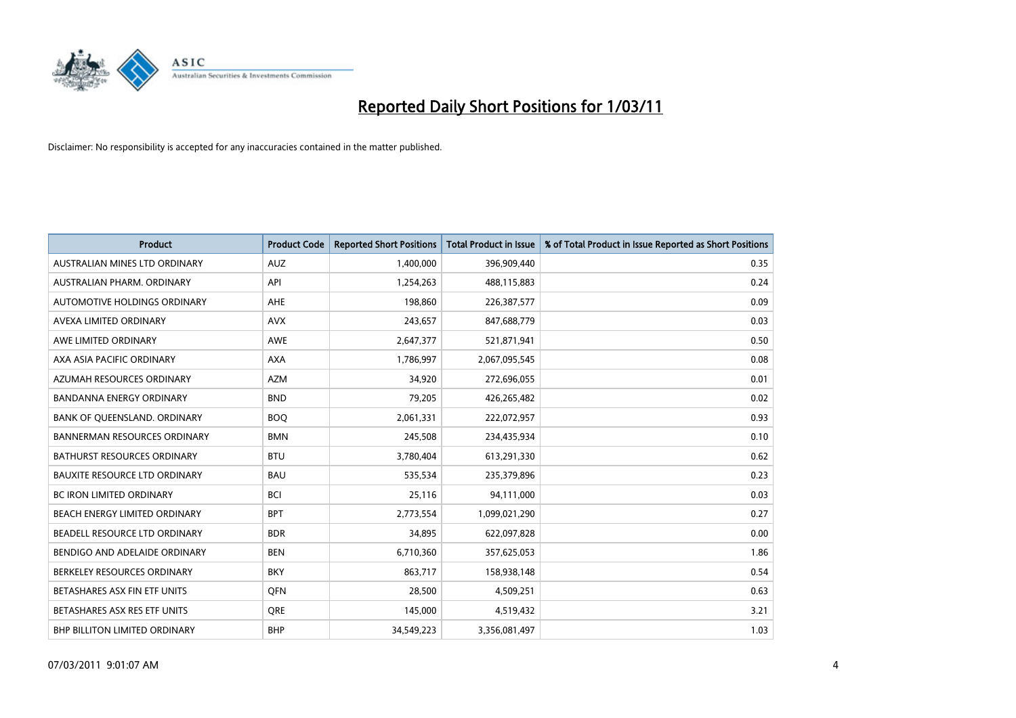

| <b>Product</b>                       | <b>Product Code</b> | <b>Reported Short Positions</b> | <b>Total Product in Issue</b> | % of Total Product in Issue Reported as Short Positions |
|--------------------------------------|---------------------|---------------------------------|-------------------------------|---------------------------------------------------------|
| <b>AUSTRALIAN MINES LTD ORDINARY</b> | <b>AUZ</b>          | 1,400,000                       | 396,909,440                   | 0.35                                                    |
| AUSTRALIAN PHARM. ORDINARY           | API                 | 1,254,263                       | 488,115,883                   | 0.24                                                    |
| AUTOMOTIVE HOLDINGS ORDINARY         | AHE                 | 198.860                         | 226,387,577                   | 0.09                                                    |
| AVEXA LIMITED ORDINARY               | <b>AVX</b>          | 243,657                         | 847,688,779                   | 0.03                                                    |
| AWE LIMITED ORDINARY                 | AWE                 | 2,647,377                       | 521,871,941                   | 0.50                                                    |
| AXA ASIA PACIFIC ORDINARY            | <b>AXA</b>          | 1,786,997                       | 2,067,095,545                 | 0.08                                                    |
| AZUMAH RESOURCES ORDINARY            | <b>AZM</b>          | 34,920                          | 272,696,055                   | 0.01                                                    |
| <b>BANDANNA ENERGY ORDINARY</b>      | <b>BND</b>          | 79,205                          | 426,265,482                   | 0.02                                                    |
| BANK OF QUEENSLAND. ORDINARY         | <b>BOO</b>          | 2,061,331                       | 222,072,957                   | 0.93                                                    |
| <b>BANNERMAN RESOURCES ORDINARY</b>  | <b>BMN</b>          | 245,508                         | 234,435,934                   | 0.10                                                    |
| BATHURST RESOURCES ORDINARY          | <b>BTU</b>          | 3,780,404                       | 613,291,330                   | 0.62                                                    |
| <b>BAUXITE RESOURCE LTD ORDINARY</b> | <b>BAU</b>          | 535,534                         | 235,379,896                   | 0.23                                                    |
| <b>BC IRON LIMITED ORDINARY</b>      | <b>BCI</b>          | 25,116                          | 94,111,000                    | 0.03                                                    |
| BEACH ENERGY LIMITED ORDINARY        | <b>BPT</b>          | 2,773,554                       | 1,099,021,290                 | 0.27                                                    |
| BEADELL RESOURCE LTD ORDINARY        | <b>BDR</b>          | 34,895                          | 622,097,828                   | 0.00                                                    |
| BENDIGO AND ADELAIDE ORDINARY        | <b>BEN</b>          | 6,710,360                       | 357,625,053                   | 1.86                                                    |
| BERKELEY RESOURCES ORDINARY          | <b>BKY</b>          | 863,717                         | 158,938,148                   | 0.54                                                    |
| BETASHARES ASX FIN ETF UNITS         | <b>OFN</b>          | 28,500                          | 4,509,251                     | 0.63                                                    |
| BETASHARES ASX RES ETF UNITS         | <b>ORE</b>          | 145,000                         | 4,519,432                     | 3.21                                                    |
| <b>BHP BILLITON LIMITED ORDINARY</b> | <b>BHP</b>          | 34.549.223                      | 3,356,081,497                 | 1.03                                                    |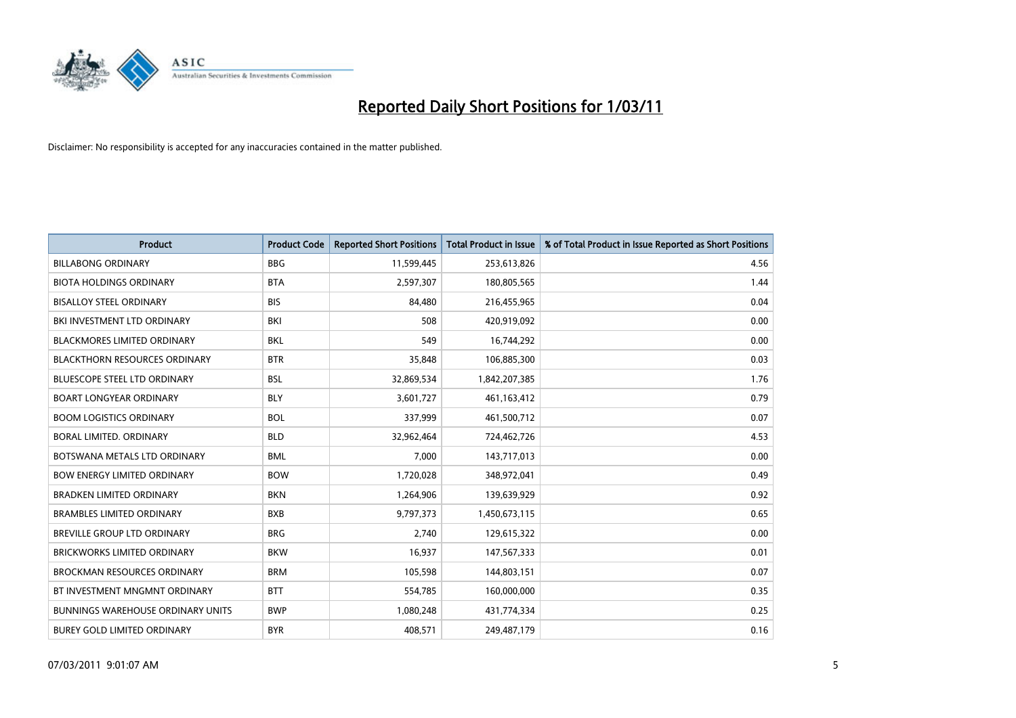

| <b>Product</b>                           | <b>Product Code</b> | <b>Reported Short Positions</b> | Total Product in Issue | % of Total Product in Issue Reported as Short Positions |
|------------------------------------------|---------------------|---------------------------------|------------------------|---------------------------------------------------------|
| <b>BILLABONG ORDINARY</b>                | <b>BBG</b>          | 11,599,445                      | 253,613,826            | 4.56                                                    |
| <b>BIOTA HOLDINGS ORDINARY</b>           | <b>BTA</b>          | 2,597,307                       | 180,805,565            | 1.44                                                    |
| <b>BISALLOY STEEL ORDINARY</b>           | <b>BIS</b>          | 84,480                          | 216,455,965            | 0.04                                                    |
| BKI INVESTMENT LTD ORDINARY              | BKI                 | 508                             | 420,919,092            | 0.00                                                    |
| <b>BLACKMORES LIMITED ORDINARY</b>       | <b>BKL</b>          | 549                             | 16,744,292             | 0.00                                                    |
| <b>BLACKTHORN RESOURCES ORDINARY</b>     | <b>BTR</b>          | 35,848                          | 106,885,300            | 0.03                                                    |
| <b>BLUESCOPE STEEL LTD ORDINARY</b>      | <b>BSL</b>          | 32,869,534                      | 1,842,207,385          | 1.76                                                    |
| <b>BOART LONGYEAR ORDINARY</b>           | <b>BLY</b>          | 3,601,727                       | 461,163,412            | 0.79                                                    |
| <b>BOOM LOGISTICS ORDINARY</b>           | <b>BOL</b>          | 337,999                         | 461,500,712            | 0.07                                                    |
| BORAL LIMITED, ORDINARY                  | <b>BLD</b>          | 32,962,464                      | 724,462,726            | 4.53                                                    |
| BOTSWANA METALS LTD ORDINARY             | <b>BML</b>          | 7,000                           | 143,717,013            | 0.00                                                    |
| <b>BOW ENERGY LIMITED ORDINARY</b>       | <b>BOW</b>          | 1,720,028                       | 348,972,041            | 0.49                                                    |
| <b>BRADKEN LIMITED ORDINARY</b>          | <b>BKN</b>          | 1,264,906                       | 139,639,929            | 0.92                                                    |
| <b>BRAMBLES LIMITED ORDINARY</b>         | <b>BXB</b>          | 9,797,373                       | 1,450,673,115          | 0.65                                                    |
| BREVILLE GROUP LTD ORDINARY              | <b>BRG</b>          | 2,740                           | 129,615,322            | 0.00                                                    |
| BRICKWORKS LIMITED ORDINARY              | <b>BKW</b>          | 16,937                          | 147,567,333            | 0.01                                                    |
| <b>BROCKMAN RESOURCES ORDINARY</b>       | <b>BRM</b>          | 105,598                         | 144,803,151            | 0.07                                                    |
| BT INVESTMENT MNGMNT ORDINARY            | <b>BTT</b>          | 554,785                         | 160,000,000            | 0.35                                                    |
| <b>BUNNINGS WAREHOUSE ORDINARY UNITS</b> | <b>BWP</b>          | 1,080,248                       | 431,774,334            | 0.25                                                    |
| <b>BUREY GOLD LIMITED ORDINARY</b>       | <b>BYR</b>          | 408.571                         | 249,487,179            | 0.16                                                    |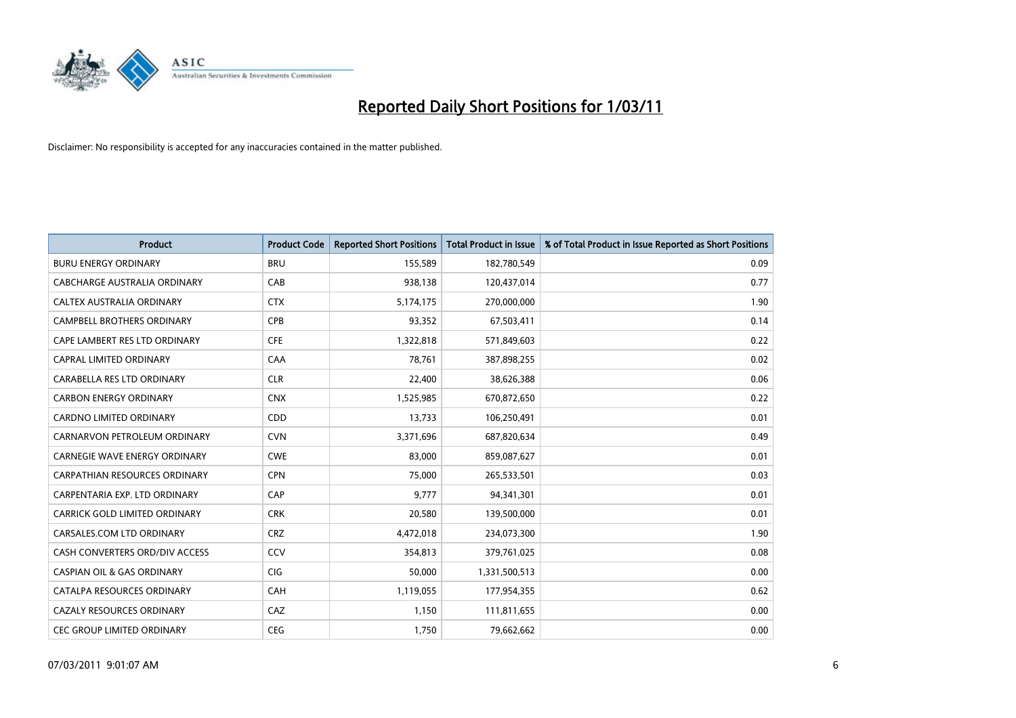

| <b>Product</b>                        | <b>Product Code</b> | <b>Reported Short Positions</b> | <b>Total Product in Issue</b> | % of Total Product in Issue Reported as Short Positions |
|---------------------------------------|---------------------|---------------------------------|-------------------------------|---------------------------------------------------------|
| <b>BURU ENERGY ORDINARY</b>           | <b>BRU</b>          | 155,589                         | 182,780,549                   | 0.09                                                    |
| CABCHARGE AUSTRALIA ORDINARY          | CAB                 | 938,138                         | 120,437,014                   | 0.77                                                    |
| CALTEX AUSTRALIA ORDINARY             | <b>CTX</b>          | 5,174,175                       | 270,000,000                   | 1.90                                                    |
| CAMPBELL BROTHERS ORDINARY            | <b>CPB</b>          | 93,352                          | 67,503,411                    | 0.14                                                    |
| CAPE LAMBERT RES LTD ORDINARY         | <b>CFE</b>          | 1,322,818                       | 571,849,603                   | 0.22                                                    |
| <b>CAPRAL LIMITED ORDINARY</b>        | CAA                 | 78,761                          | 387,898,255                   | 0.02                                                    |
| CARABELLA RES LTD ORDINARY            | <b>CLR</b>          | 22,400                          | 38,626,388                    | 0.06                                                    |
| <b>CARBON ENERGY ORDINARY</b>         | <b>CNX</b>          | 1,525,985                       | 670,872,650                   | 0.22                                                    |
| <b>CARDNO LIMITED ORDINARY</b>        | CDD                 | 13,733                          | 106,250,491                   | 0.01                                                    |
| CARNARVON PETROLEUM ORDINARY          | <b>CVN</b>          | 3,371,696                       | 687,820,634                   | 0.49                                                    |
| <b>CARNEGIE WAVE ENERGY ORDINARY</b>  | <b>CWE</b>          | 83,000                          | 859,087,627                   | 0.01                                                    |
| <b>CARPATHIAN RESOURCES ORDINARY</b>  | <b>CPN</b>          | 75,000                          | 265,533,501                   | 0.03                                                    |
| CARPENTARIA EXP. LTD ORDINARY         | CAP                 | 9.777                           | 94,341,301                    | 0.01                                                    |
| CARRICK GOLD LIMITED ORDINARY         | <b>CRK</b>          | 20,580                          | 139,500,000                   | 0.01                                                    |
| CARSALES.COM LTD ORDINARY             | <b>CRZ</b>          | 4,472,018                       | 234,073,300                   | 1.90                                                    |
| CASH CONVERTERS ORD/DIV ACCESS        | CCV                 | 354,813                         | 379,761,025                   | 0.08                                                    |
| <b>CASPIAN OIL &amp; GAS ORDINARY</b> | CIG                 | 50,000                          | 1,331,500,513                 | 0.00                                                    |
| CATALPA RESOURCES ORDINARY            | CAH                 | 1,119,055                       | 177,954,355                   | 0.62                                                    |
| CAZALY RESOURCES ORDINARY             | CAZ                 | 1,150                           | 111,811,655                   | 0.00                                                    |
| CEC GROUP LIMITED ORDINARY            | <b>CEG</b>          | 1,750                           | 79,662,662                    | 0.00                                                    |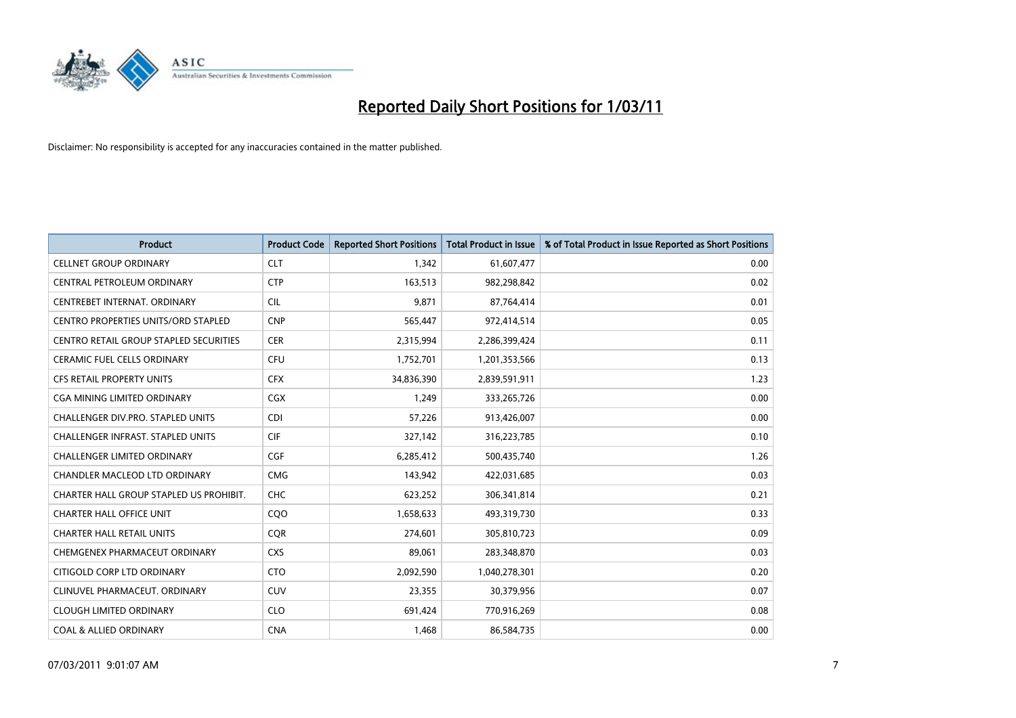

| <b>Product</b>                          | <b>Product Code</b> | <b>Reported Short Positions</b> | Total Product in Issue | % of Total Product in Issue Reported as Short Positions |
|-----------------------------------------|---------------------|---------------------------------|------------------------|---------------------------------------------------------|
| <b>CELLNET GROUP ORDINARY</b>           | <b>CLT</b>          | 1,342                           | 61,607,477             | 0.00                                                    |
| CENTRAL PETROLEUM ORDINARY              | <b>CTP</b>          | 163,513                         | 982,298,842            | 0.02                                                    |
| CENTREBET INTERNAT, ORDINARY            | <b>CIL</b>          | 9,871                           | 87,764,414             | 0.01                                                    |
| CENTRO PROPERTIES UNITS/ORD STAPLED     | <b>CNP</b>          | 565,447                         | 972,414,514            | 0.05                                                    |
| CENTRO RETAIL GROUP STAPLED SECURITIES  | <b>CER</b>          | 2,315,994                       | 2,286,399,424          | 0.11                                                    |
| <b>CERAMIC FUEL CELLS ORDINARY</b>      | <b>CFU</b>          | 1,752,701                       | 1,201,353,566          | 0.13                                                    |
| <b>CFS RETAIL PROPERTY UNITS</b>        | <b>CFX</b>          | 34,836,390                      | 2,839,591,911          | 1.23                                                    |
| CGA MINING LIMITED ORDINARY             | <b>CGX</b>          | 1,249                           | 333,265,726            | 0.00                                                    |
| CHALLENGER DIV.PRO. STAPLED UNITS       | <b>CDI</b>          | 57,226                          | 913,426,007            | 0.00                                                    |
| CHALLENGER INFRAST. STAPLED UNITS       | <b>CIF</b>          | 327,142                         | 316,223,785            | 0.10                                                    |
| CHALLENGER LIMITED ORDINARY             | <b>CGF</b>          | 6,285,412                       | 500,435,740            | 1.26                                                    |
| CHANDLER MACLEOD LTD ORDINARY           | <b>CMG</b>          | 143,942                         | 422,031,685            | 0.03                                                    |
| CHARTER HALL GROUP STAPLED US PROHIBIT. | <b>CHC</b>          | 623,252                         | 306,341,814            | 0.21                                                    |
| <b>CHARTER HALL OFFICE UNIT</b>         | COO                 | 1,658,633                       | 493,319,730            | 0.33                                                    |
| <b>CHARTER HALL RETAIL UNITS</b>        | CQR                 | 274,601                         | 305,810,723            | 0.09                                                    |
| CHEMGENEX PHARMACEUT ORDINARY           | <b>CXS</b>          | 89,061                          | 283,348,870            | 0.03                                                    |
| CITIGOLD CORP LTD ORDINARY              | <b>CTO</b>          | 2,092,590                       | 1,040,278,301          | 0.20                                                    |
| CLINUVEL PHARMACEUT. ORDINARY           | <b>CUV</b>          | 23,355                          | 30,379,956             | 0.07                                                    |
| <b>CLOUGH LIMITED ORDINARY</b>          | <b>CLO</b>          | 691,424                         | 770,916,269            | 0.08                                                    |
| <b>COAL &amp; ALLIED ORDINARY</b>       | <b>CNA</b>          | 1,468                           | 86,584,735             | 0.00                                                    |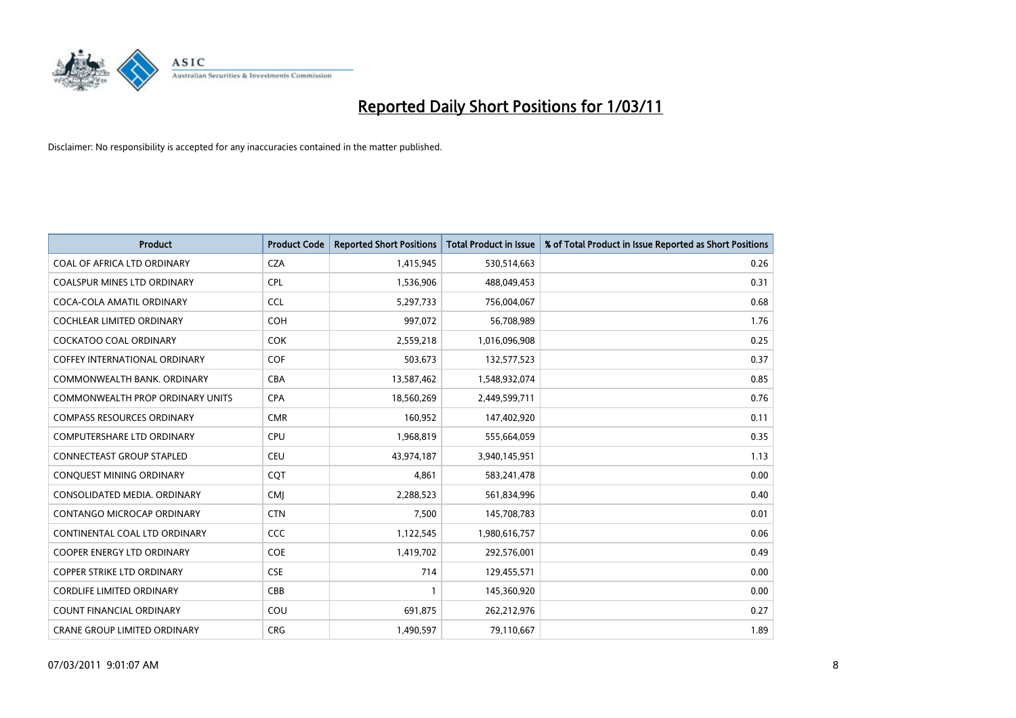

| <b>Product</b>                       | <b>Product Code</b> | <b>Reported Short Positions</b> | <b>Total Product in Issue</b> | % of Total Product in Issue Reported as Short Positions |
|--------------------------------------|---------------------|---------------------------------|-------------------------------|---------------------------------------------------------|
| COAL OF AFRICA LTD ORDINARY          | <b>CZA</b>          | 1,415,945                       | 530,514,663                   | 0.26                                                    |
| COALSPUR MINES LTD ORDINARY          | <b>CPL</b>          | 1,536,906                       | 488,049,453                   | 0.31                                                    |
| COCA-COLA AMATIL ORDINARY            | CCL                 | 5,297,733                       | 756,004,067                   | 0.68                                                    |
| <b>COCHLEAR LIMITED ORDINARY</b>     | COH                 | 997,072                         | 56,708,989                    | 1.76                                                    |
| <b>COCKATOO COAL ORDINARY</b>        | <b>COK</b>          | 2,559,218                       | 1,016,096,908                 | 0.25                                                    |
| <b>COFFEY INTERNATIONAL ORDINARY</b> | COF                 | 503,673                         | 132,577,523                   | 0.37                                                    |
| COMMONWEALTH BANK, ORDINARY          | CBA                 | 13,587,462                      | 1,548,932,074                 | 0.85                                                    |
| COMMONWEALTH PROP ORDINARY UNITS     | <b>CPA</b>          | 18,560,269                      | 2,449,599,711                 | 0.76                                                    |
| <b>COMPASS RESOURCES ORDINARY</b>    | <b>CMR</b>          | 160,952                         | 147,402,920                   | 0.11                                                    |
| <b>COMPUTERSHARE LTD ORDINARY</b>    | <b>CPU</b>          | 1,968,819                       | 555,664,059                   | 0.35                                                    |
| <b>CONNECTEAST GROUP STAPLED</b>     | CEU                 | 43,974,187                      | 3,940,145,951                 | 1.13                                                    |
| CONQUEST MINING ORDINARY             | CQT                 | 4,861                           | 583,241,478                   | 0.00                                                    |
| CONSOLIDATED MEDIA, ORDINARY         | <b>CMJ</b>          | 2,288,523                       | 561,834,996                   | 0.40                                                    |
| <b>CONTANGO MICROCAP ORDINARY</b>    | <b>CTN</b>          | 7,500                           | 145,708,783                   | 0.01                                                    |
| CONTINENTAL COAL LTD ORDINARY        | CCC                 | 1,122,545                       | 1,980,616,757                 | 0.06                                                    |
| <b>COOPER ENERGY LTD ORDINARY</b>    | <b>COE</b>          | 1,419,702                       | 292,576,001                   | 0.49                                                    |
| <b>COPPER STRIKE LTD ORDINARY</b>    | <b>CSE</b>          | 714                             | 129,455,571                   | 0.00                                                    |
| <b>CORDLIFE LIMITED ORDINARY</b>     | CBB                 |                                 | 145,360,920                   | 0.00                                                    |
| <b>COUNT FINANCIAL ORDINARY</b>      | COU                 | 691,875                         | 262,212,976                   | 0.27                                                    |
| <b>CRANE GROUP LIMITED ORDINARY</b>  | <b>CRG</b>          | 1,490,597                       | 79,110,667                    | 1.89                                                    |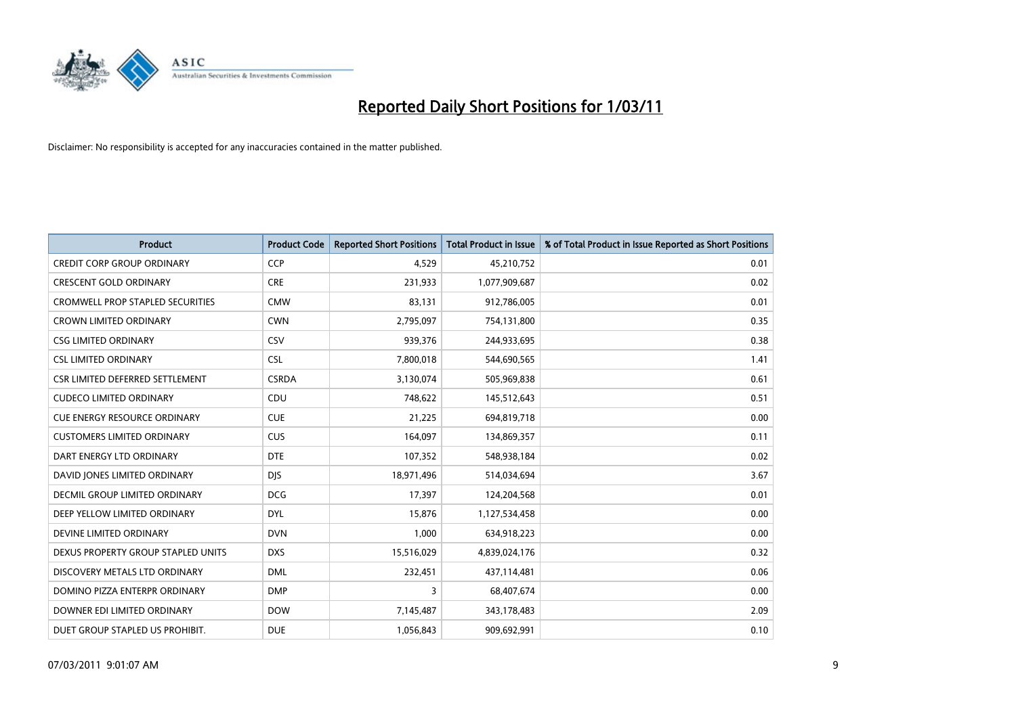

| <b>Product</b>                          | <b>Product Code</b> | <b>Reported Short Positions</b> | Total Product in Issue | % of Total Product in Issue Reported as Short Positions |
|-----------------------------------------|---------------------|---------------------------------|------------------------|---------------------------------------------------------|
| <b>CREDIT CORP GROUP ORDINARY</b>       | <b>CCP</b>          | 4,529                           | 45,210,752             | 0.01                                                    |
| <b>CRESCENT GOLD ORDINARY</b>           | <b>CRE</b>          | 231,933                         | 1,077,909,687          | 0.02                                                    |
| <b>CROMWELL PROP STAPLED SECURITIES</b> | <b>CMW</b>          | 83,131                          | 912,786,005            | 0.01                                                    |
| <b>CROWN LIMITED ORDINARY</b>           | <b>CWN</b>          | 2,795,097                       | 754,131,800            | 0.35                                                    |
| <b>CSG LIMITED ORDINARY</b>             | CSV                 | 939,376                         | 244,933,695            | 0.38                                                    |
| <b>CSL LIMITED ORDINARY</b>             | <b>CSL</b>          | 7,800,018                       | 544,690,565            | 1.41                                                    |
| CSR LIMITED DEFERRED SETTLEMENT         | <b>CSRDA</b>        | 3,130,074                       | 505,969,838            | 0.61                                                    |
| <b>CUDECO LIMITED ORDINARY</b>          | CDU                 | 748,622                         | 145,512,643            | 0.51                                                    |
| <b>CUE ENERGY RESOURCE ORDINARY</b>     | <b>CUE</b>          | 21,225                          | 694,819,718            | 0.00                                                    |
| <b>CUSTOMERS LIMITED ORDINARY</b>       | CUS                 | 164,097                         | 134,869,357            | 0.11                                                    |
| DART ENERGY LTD ORDINARY                | <b>DTE</b>          | 107,352                         | 548,938,184            | 0.02                                                    |
| DAVID JONES LIMITED ORDINARY            | <b>DJS</b>          | 18,971,496                      | 514,034,694            | 3.67                                                    |
| <b>DECMIL GROUP LIMITED ORDINARY</b>    | <b>DCG</b>          | 17,397                          | 124,204,568            | 0.01                                                    |
| DEEP YELLOW LIMITED ORDINARY            | <b>DYL</b>          | 15,876                          | 1,127,534,458          | 0.00                                                    |
| DEVINE LIMITED ORDINARY                 | <b>DVN</b>          | 1,000                           | 634,918,223            | 0.00                                                    |
| DEXUS PROPERTY GROUP STAPLED UNITS      | <b>DXS</b>          | 15,516,029                      | 4,839,024,176          | 0.32                                                    |
| DISCOVERY METALS LTD ORDINARY           | <b>DML</b>          | 232,451                         | 437,114,481            | 0.06                                                    |
| DOMINO PIZZA ENTERPR ORDINARY           | <b>DMP</b>          | 3                               | 68,407,674             | 0.00                                                    |
| DOWNER EDI LIMITED ORDINARY             | <b>DOW</b>          | 7,145,487                       | 343,178,483            | 2.09                                                    |
| DUET GROUP STAPLED US PROHIBIT.         | <b>DUE</b>          | 1,056,843                       | 909,692,991            | 0.10                                                    |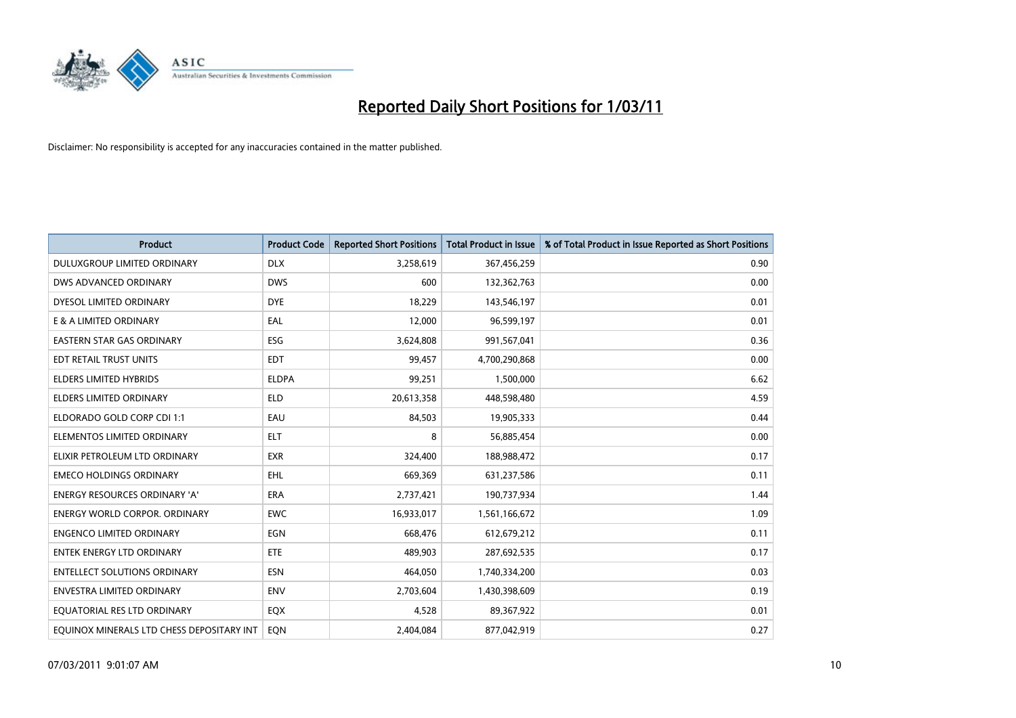

| <b>Product</b>                            | <b>Product Code</b> | <b>Reported Short Positions</b> | <b>Total Product in Issue</b> | % of Total Product in Issue Reported as Short Positions |
|-------------------------------------------|---------------------|---------------------------------|-------------------------------|---------------------------------------------------------|
| DULUXGROUP LIMITED ORDINARY               | <b>DLX</b>          | 3,258,619                       | 367,456,259                   | 0.90                                                    |
| DWS ADVANCED ORDINARY                     | <b>DWS</b>          | 600                             | 132,362,763                   | 0.00                                                    |
| DYESOL LIMITED ORDINARY                   | <b>DYE</b>          | 18,229                          | 143,546,197                   | 0.01                                                    |
| E & A LIMITED ORDINARY                    | EAL                 | 12,000                          | 96,599,197                    | 0.01                                                    |
| <b>EASTERN STAR GAS ORDINARY</b>          | <b>ESG</b>          | 3,624,808                       | 991,567,041                   | 0.36                                                    |
| EDT RETAIL TRUST UNITS                    | <b>EDT</b>          | 99,457                          | 4,700,290,868                 | 0.00                                                    |
| <b>ELDERS LIMITED HYBRIDS</b>             | <b>ELDPA</b>        | 99,251                          | 1,500,000                     | 6.62                                                    |
| <b>ELDERS LIMITED ORDINARY</b>            | <b>ELD</b>          | 20,613,358                      | 448,598,480                   | 4.59                                                    |
| ELDORADO GOLD CORP CDI 1:1                | EAU                 | 84,503                          | 19,905,333                    | 0.44                                                    |
| ELEMENTOS LIMITED ORDINARY                | <b>ELT</b>          | 8                               | 56,885,454                    | 0.00                                                    |
| ELIXIR PETROLEUM LTD ORDINARY             | <b>EXR</b>          | 324,400                         | 188,988,472                   | 0.17                                                    |
| <b>EMECO HOLDINGS ORDINARY</b>            | <b>EHL</b>          | 669,369                         | 631,237,586                   | 0.11                                                    |
| <b>ENERGY RESOURCES ORDINARY 'A'</b>      | <b>ERA</b>          | 2,737,421                       | 190,737,934                   | 1.44                                                    |
| <b>ENERGY WORLD CORPOR, ORDINARY</b>      | <b>EWC</b>          | 16,933,017                      | 1,561,166,672                 | 1.09                                                    |
| <b>ENGENCO LIMITED ORDINARY</b>           | <b>EGN</b>          | 668,476                         | 612,679,212                   | 0.11                                                    |
| ENTEK ENERGY LTD ORDINARY                 | <b>ETE</b>          | 489,903                         | 287,692,535                   | 0.17                                                    |
| <b>ENTELLECT SOLUTIONS ORDINARY</b>       | <b>ESN</b>          | 464,050                         | 1,740,334,200                 | 0.03                                                    |
| <b>ENVESTRA LIMITED ORDINARY</b>          | <b>ENV</b>          | 2,703,604                       | 1,430,398,609                 | 0.19                                                    |
| EQUATORIAL RES LTD ORDINARY               | EQX                 | 4,528                           | 89,367,922                    | 0.01                                                    |
| EOUINOX MINERALS LTD CHESS DEPOSITARY INT | <b>EON</b>          | 2,404,084                       | 877,042,919                   | 0.27                                                    |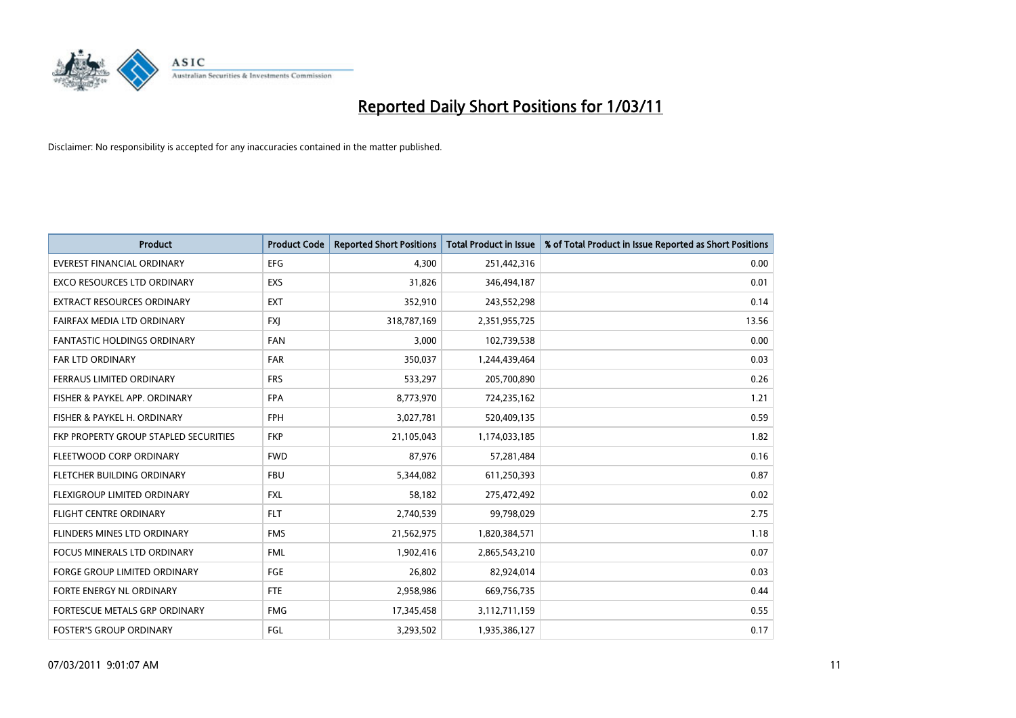

| <b>Product</b>                        | <b>Product Code</b> | <b>Reported Short Positions</b> | <b>Total Product in Issue</b> | % of Total Product in Issue Reported as Short Positions |
|---------------------------------------|---------------------|---------------------------------|-------------------------------|---------------------------------------------------------|
| <b>EVEREST FINANCIAL ORDINARY</b>     | EFG                 | 4,300                           | 251,442,316                   | 0.00                                                    |
| <b>EXCO RESOURCES LTD ORDINARY</b>    | EXS                 | 31,826                          | 346,494,187                   | 0.01                                                    |
| <b>EXTRACT RESOURCES ORDINARY</b>     | <b>EXT</b>          | 352,910                         | 243,552,298                   | 0.14                                                    |
| FAIRFAX MEDIA LTD ORDINARY            | <b>FXI</b>          | 318,787,169                     | 2,351,955,725                 | 13.56                                                   |
| <b>FANTASTIC HOLDINGS ORDINARY</b>    | <b>FAN</b>          | 3,000                           | 102,739,538                   | 0.00                                                    |
| <b>FAR LTD ORDINARY</b>               | <b>FAR</b>          | 350,037                         | 1,244,439,464                 | 0.03                                                    |
| FERRAUS LIMITED ORDINARY              | <b>FRS</b>          | 533,297                         | 205,700,890                   | 0.26                                                    |
| FISHER & PAYKEL APP. ORDINARY         | <b>FPA</b>          | 8,773,970                       | 724,235,162                   | 1.21                                                    |
| FISHER & PAYKEL H. ORDINARY           | <b>FPH</b>          | 3,027,781                       | 520,409,135                   | 0.59                                                    |
| FKP PROPERTY GROUP STAPLED SECURITIES | <b>FKP</b>          | 21,105,043                      | 1,174,033,185                 | 1.82                                                    |
| FLEETWOOD CORP ORDINARY               | <b>FWD</b>          | 87,976                          | 57,281,484                    | 0.16                                                    |
| <b>FLETCHER BUILDING ORDINARY</b>     | <b>FBU</b>          | 5,344,082                       | 611,250,393                   | 0.87                                                    |
| FLEXIGROUP LIMITED ORDINARY           | <b>FXL</b>          | 58.182                          | 275,472,492                   | 0.02                                                    |
| <b>FLIGHT CENTRE ORDINARY</b>         | <b>FLT</b>          | 2,740,539                       | 99,798,029                    | 2.75                                                    |
| FLINDERS MINES LTD ORDINARY           | <b>FMS</b>          | 21,562,975                      | 1,820,384,571                 | 1.18                                                    |
| <b>FOCUS MINERALS LTD ORDINARY</b>    | <b>FML</b>          | 1,902,416                       | 2,865,543,210                 | 0.07                                                    |
| <b>FORGE GROUP LIMITED ORDINARY</b>   | <b>FGE</b>          | 26,802                          | 82,924,014                    | 0.03                                                    |
| FORTE ENERGY NL ORDINARY              | <b>FTE</b>          | 2,958,986                       | 669,756,735                   | 0.44                                                    |
| FORTESCUE METALS GRP ORDINARY         | <b>FMG</b>          | 17,345,458                      | 3,112,711,159                 | 0.55                                                    |
| <b>FOSTER'S GROUP ORDINARY</b>        | FGL                 | 3,293,502                       | 1,935,386,127                 | 0.17                                                    |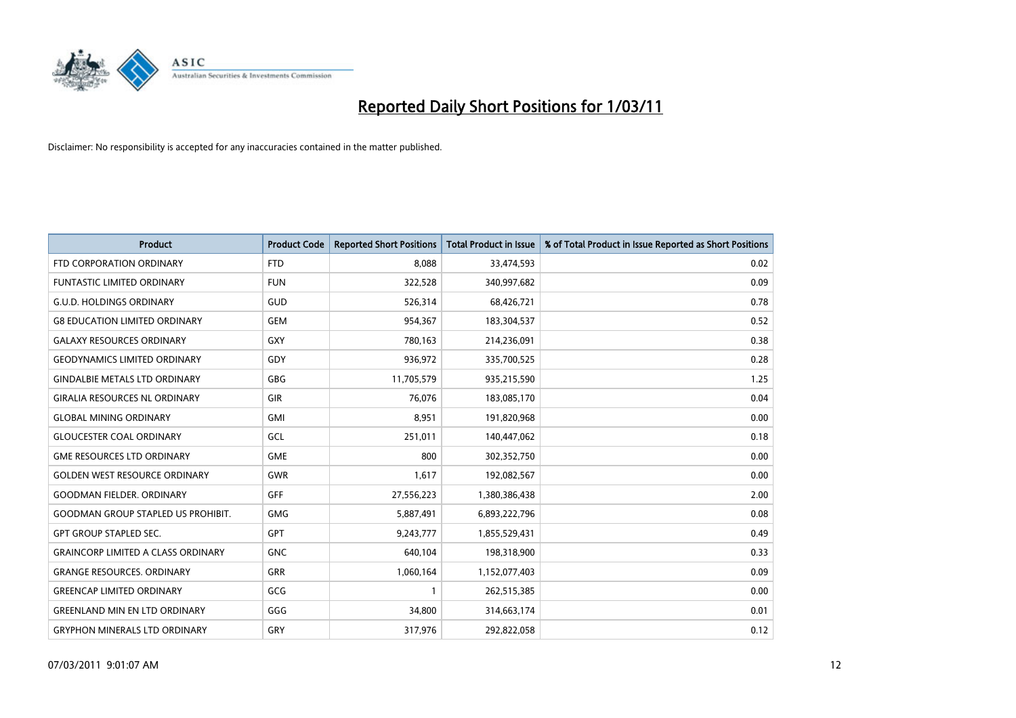

| <b>Product</b>                            | <b>Product Code</b> | <b>Reported Short Positions</b> | <b>Total Product in Issue</b> | % of Total Product in Issue Reported as Short Positions |
|-------------------------------------------|---------------------|---------------------------------|-------------------------------|---------------------------------------------------------|
| FTD CORPORATION ORDINARY                  | <b>FTD</b>          | 8.088                           | 33,474,593                    | 0.02                                                    |
| <b>FUNTASTIC LIMITED ORDINARY</b>         | <b>FUN</b>          | 322,528                         | 340,997,682                   | 0.09                                                    |
| <b>G.U.D. HOLDINGS ORDINARY</b>           | GUD                 | 526,314                         | 68,426,721                    | 0.78                                                    |
| <b>G8 EDUCATION LIMITED ORDINARY</b>      | <b>GEM</b>          | 954,367                         | 183,304,537                   | 0.52                                                    |
| <b>GALAXY RESOURCES ORDINARY</b>          | <b>GXY</b>          | 780,163                         | 214,236,091                   | 0.38                                                    |
| <b>GEODYNAMICS LIMITED ORDINARY</b>       | <b>GDY</b>          | 936,972                         | 335,700,525                   | 0.28                                                    |
| <b>GINDALBIE METALS LTD ORDINARY</b>      | <b>GBG</b>          | 11,705,579                      | 935,215,590                   | 1.25                                                    |
| <b>GIRALIA RESOURCES NL ORDINARY</b>      | <b>GIR</b>          | 76,076                          | 183,085,170                   | 0.04                                                    |
| <b>GLOBAL MINING ORDINARY</b>             | <b>GMI</b>          | 8,951                           | 191,820,968                   | 0.00                                                    |
| <b>GLOUCESTER COAL ORDINARY</b>           | GCL                 | 251,011                         | 140,447,062                   | 0.18                                                    |
| <b>GME RESOURCES LTD ORDINARY</b>         | <b>GME</b>          | 800                             | 302,352,750                   | 0.00                                                    |
| <b>GOLDEN WEST RESOURCE ORDINARY</b>      | <b>GWR</b>          | 1,617                           | 192,082,567                   | 0.00                                                    |
| <b>GOODMAN FIELDER, ORDINARY</b>          | <b>GFF</b>          | 27,556,223                      | 1,380,386,438                 | 2.00                                                    |
| <b>GOODMAN GROUP STAPLED US PROHIBIT.</b> | GMG                 | 5,887,491                       | 6,893,222,796                 | 0.08                                                    |
| <b>GPT GROUP STAPLED SEC.</b>             | GPT                 | 9,243,777                       | 1,855,529,431                 | 0.49                                                    |
| <b>GRAINCORP LIMITED A CLASS ORDINARY</b> | <b>GNC</b>          | 640,104                         | 198,318,900                   | 0.33                                                    |
| <b>GRANGE RESOURCES. ORDINARY</b>         | <b>GRR</b>          | 1,060,164                       | 1,152,077,403                 | 0.09                                                    |
| <b>GREENCAP LIMITED ORDINARY</b>          | GCG                 |                                 | 262,515,385                   | 0.00                                                    |
| <b>GREENLAND MIN EN LTD ORDINARY</b>      | GGG                 | 34,800                          | 314,663,174                   | 0.01                                                    |
| <b>GRYPHON MINERALS LTD ORDINARY</b>      | GRY                 | 317,976                         | 292,822,058                   | 0.12                                                    |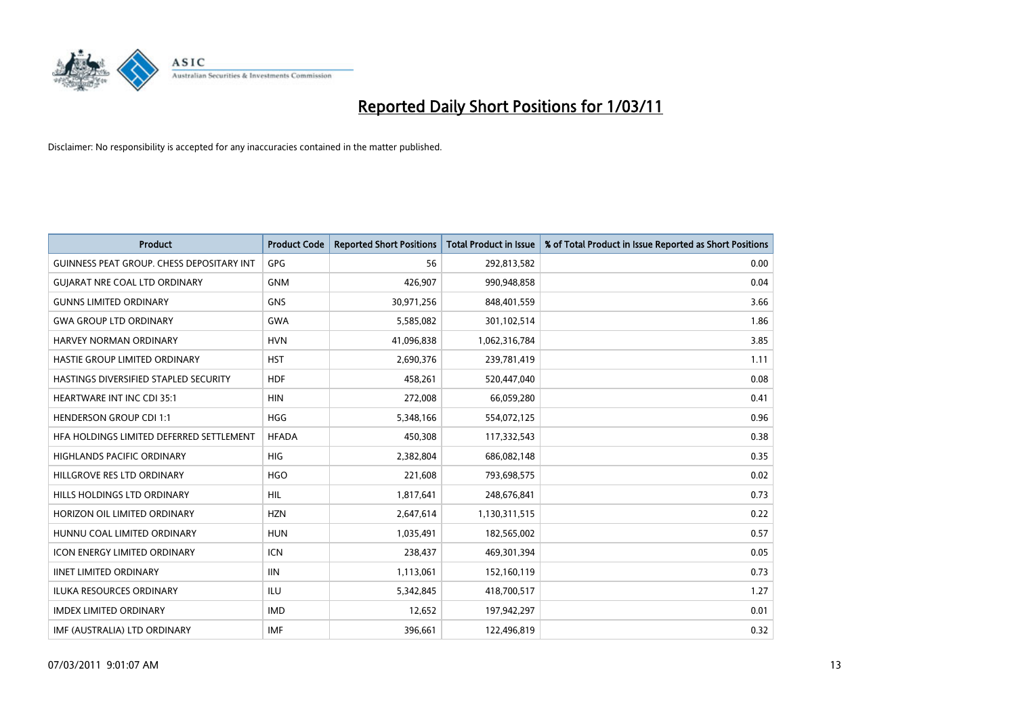

| <b>Product</b>                            | <b>Product Code</b> | <b>Reported Short Positions</b> | <b>Total Product in Issue</b> | % of Total Product in Issue Reported as Short Positions |
|-------------------------------------------|---------------------|---------------------------------|-------------------------------|---------------------------------------------------------|
| GUINNESS PEAT GROUP. CHESS DEPOSITARY INT | GPG                 | 56                              | 292,813,582                   | 0.00                                                    |
| <b>GUIARAT NRE COAL LTD ORDINARY</b>      | <b>GNM</b>          | 426,907                         | 990,948,858                   | 0.04                                                    |
| <b>GUNNS LIMITED ORDINARY</b>             | <b>GNS</b>          | 30,971,256                      | 848,401,559                   | 3.66                                                    |
| <b>GWA GROUP LTD ORDINARY</b>             | <b>GWA</b>          | 5,585,082                       | 301,102,514                   | 1.86                                                    |
| <b>HARVEY NORMAN ORDINARY</b>             | <b>HVN</b>          | 41,096,838                      | 1,062,316,784                 | 3.85                                                    |
| HASTIE GROUP LIMITED ORDINARY             | <b>HST</b>          | 2,690,376                       | 239,781,419                   | 1.11                                                    |
| HASTINGS DIVERSIFIED STAPLED SECURITY     | <b>HDF</b>          | 458.261                         | 520,447,040                   | 0.08                                                    |
| <b>HEARTWARE INT INC CDI 35:1</b>         | <b>HIN</b>          | 272,008                         | 66,059,280                    | 0.41                                                    |
| <b>HENDERSON GROUP CDI 1:1</b>            | <b>HGG</b>          | 5,348,166                       | 554,072,125                   | 0.96                                                    |
| HFA HOLDINGS LIMITED DEFERRED SETTLEMENT  | <b>HFADA</b>        | 450,308                         | 117,332,543                   | 0.38                                                    |
| HIGHLANDS PACIFIC ORDINARY                | <b>HIG</b>          | 2,382,804                       | 686,082,148                   | 0.35                                                    |
| HILLGROVE RES LTD ORDINARY                | <b>HGO</b>          | 221,608                         | 793,698,575                   | 0.02                                                    |
| HILLS HOLDINGS LTD ORDINARY               | <b>HIL</b>          | 1,817,641                       | 248,676,841                   | 0.73                                                    |
| HORIZON OIL LIMITED ORDINARY              | <b>HZN</b>          | 2,647,614                       | 1,130,311,515                 | 0.22                                                    |
| HUNNU COAL LIMITED ORDINARY               | <b>HUN</b>          | 1,035,491                       | 182,565,002                   | 0.57                                                    |
| ICON ENERGY LIMITED ORDINARY              | <b>ICN</b>          | 238,437                         | 469,301,394                   | 0.05                                                    |
| <b>IINET LIMITED ORDINARY</b>             | <b>IIN</b>          | 1,113,061                       | 152,160,119                   | 0.73                                                    |
| ILUKA RESOURCES ORDINARY                  | <b>ILU</b>          | 5,342,845                       | 418,700,517                   | 1.27                                                    |
| <b>IMDEX LIMITED ORDINARY</b>             | <b>IMD</b>          | 12,652                          | 197,942,297                   | 0.01                                                    |
| IMF (AUSTRALIA) LTD ORDINARY              | <b>IMF</b>          | 396.661                         | 122,496,819                   | 0.32                                                    |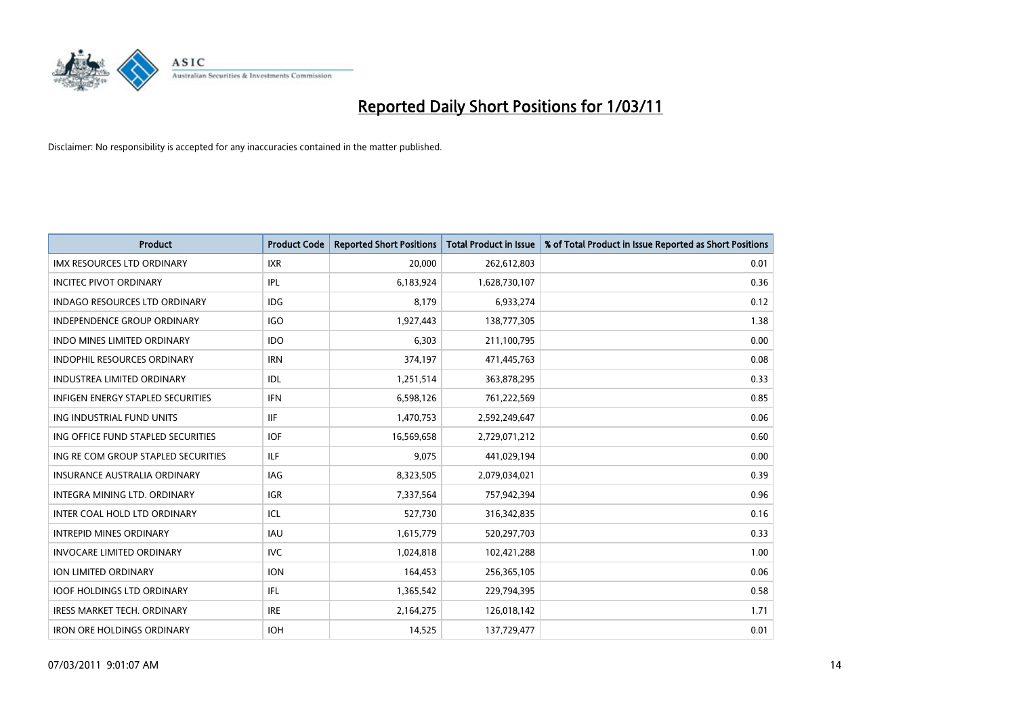

| <b>Product</b>                       | <b>Product Code</b> | <b>Reported Short Positions</b> | Total Product in Issue | % of Total Product in Issue Reported as Short Positions |
|--------------------------------------|---------------------|---------------------------------|------------------------|---------------------------------------------------------|
| <b>IMX RESOURCES LTD ORDINARY</b>    | <b>IXR</b>          | 20,000                          | 262,612,803            | 0.01                                                    |
| <b>INCITEC PIVOT ORDINARY</b>        | <b>IPL</b>          | 6,183,924                       | 1,628,730,107          | 0.36                                                    |
| <b>INDAGO RESOURCES LTD ORDINARY</b> | <b>IDG</b>          | 8,179                           | 6,933,274              | 0.12                                                    |
| INDEPENDENCE GROUP ORDINARY          | <b>IGO</b>          | 1,927,443                       | 138,777,305            | 1.38                                                    |
| <b>INDO MINES LIMITED ORDINARY</b>   | <b>IDO</b>          | 6,303                           | 211,100,795            | 0.00                                                    |
| <b>INDOPHIL RESOURCES ORDINARY</b>   | <b>IRN</b>          | 374,197                         | 471,445,763            | 0.08                                                    |
| <b>INDUSTREA LIMITED ORDINARY</b>    | IDL                 | 1,251,514                       | 363,878,295            | 0.33                                                    |
| INFIGEN ENERGY STAPLED SECURITIES    | <b>IFN</b>          | 6,598,126                       | 761,222,569            | 0.85                                                    |
| ING INDUSTRIAL FUND UNITS            | <b>IIF</b>          | 1,470,753                       | 2,592,249,647          | 0.06                                                    |
| ING OFFICE FUND STAPLED SECURITIES   | <b>IOF</b>          | 16,569,658                      | 2,729,071,212          | 0.60                                                    |
| ING RE COM GROUP STAPLED SECURITIES  | <b>ILF</b>          | 9,075                           | 441,029,194            | 0.00                                                    |
| <b>INSURANCE AUSTRALIA ORDINARY</b>  | <b>IAG</b>          | 8,323,505                       | 2,079,034,021          | 0.39                                                    |
| <b>INTEGRA MINING LTD, ORDINARY</b>  | <b>IGR</b>          | 7,337,564                       | 757,942,394            | 0.96                                                    |
| INTER COAL HOLD LTD ORDINARY         | ICL                 | 527,730                         | 316, 342, 835          | 0.16                                                    |
| <b>INTREPID MINES ORDINARY</b>       | <b>IAU</b>          | 1,615,779                       | 520,297,703            | 0.33                                                    |
| <b>INVOCARE LIMITED ORDINARY</b>     | <b>IVC</b>          | 1,024,818                       | 102,421,288            | 1.00                                                    |
| <b>ION LIMITED ORDINARY</b>          | <b>ION</b>          | 164,453                         | 256,365,105            | 0.06                                                    |
| <b>IOOF HOLDINGS LTD ORDINARY</b>    | IFL                 | 1,365,542                       | 229,794,395            | 0.58                                                    |
| <b>IRESS MARKET TECH. ORDINARY</b>   | <b>IRE</b>          | 2,164,275                       | 126,018,142            | 1.71                                                    |
| <b>IRON ORE HOLDINGS ORDINARY</b>    | <b>IOH</b>          | 14,525                          | 137,729,477            | 0.01                                                    |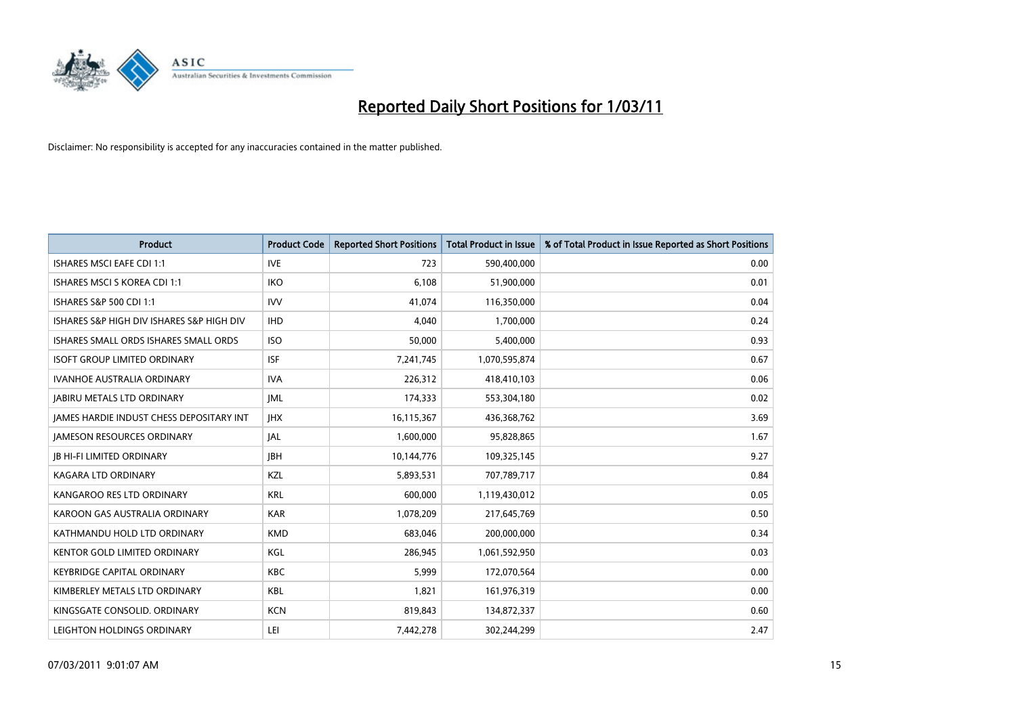

| <b>Product</b>                            | <b>Product Code</b> | <b>Reported Short Positions</b> | Total Product in Issue | % of Total Product in Issue Reported as Short Positions |
|-------------------------------------------|---------------------|---------------------------------|------------------------|---------------------------------------------------------|
| <b>ISHARES MSCI EAFE CDI 1:1</b>          | <b>IVE</b>          | 723                             | 590,400,000            | 0.00                                                    |
| ISHARES MSCI S KOREA CDI 1:1              | <b>IKO</b>          | 6,108                           | 51,900,000             | 0.01                                                    |
| ISHARES S&P 500 CDI 1:1                   | <b>IVV</b>          | 41,074                          | 116,350,000            | 0.04                                                    |
| ISHARES S&P HIGH DIV ISHARES S&P HIGH DIV | <b>IHD</b>          | 4,040                           | 1,700,000              | 0.24                                                    |
| ISHARES SMALL ORDS ISHARES SMALL ORDS     | <b>ISO</b>          | 50,000                          | 5,400,000              | 0.93                                                    |
| <b>ISOFT GROUP LIMITED ORDINARY</b>       | <b>ISF</b>          | 7,241,745                       | 1,070,595,874          | 0.67                                                    |
| <b>IVANHOE AUSTRALIA ORDINARY</b>         | <b>IVA</b>          | 226,312                         | 418,410,103            | 0.06                                                    |
| <b>JABIRU METALS LTD ORDINARY</b>         | <b>JML</b>          | 174,333                         | 553,304,180            | 0.02                                                    |
| JAMES HARDIE INDUST CHESS DEPOSITARY INT  | <b>IHX</b>          | 16,115,367                      | 436,368,762            | 3.69                                                    |
| <b>JAMESON RESOURCES ORDINARY</b>         | <b>JAL</b>          | 1,600,000                       | 95,828,865             | 1.67                                                    |
| <b>JB HI-FI LIMITED ORDINARY</b>          | <b>JBH</b>          | 10,144,776                      | 109,325,145            | 9.27                                                    |
| <b>KAGARA LTD ORDINARY</b>                | KZL                 | 5,893,531                       | 707,789,717            | 0.84                                                    |
| KANGAROO RES LTD ORDINARY                 | <b>KRL</b>          | 600,000                         | 1,119,430,012          | 0.05                                                    |
| KAROON GAS AUSTRALIA ORDINARY             | <b>KAR</b>          | 1,078,209                       | 217,645,769            | 0.50                                                    |
| KATHMANDU HOLD LTD ORDINARY               | <b>KMD</b>          | 683,046                         | 200,000,000            | 0.34                                                    |
| KENTOR GOLD LIMITED ORDINARY              | KGL                 | 286,945                         | 1,061,592,950          | 0.03                                                    |
| <b>KEYBRIDGE CAPITAL ORDINARY</b>         | <b>KBC</b>          | 5,999                           | 172,070,564            | 0.00                                                    |
| KIMBERLEY METALS LTD ORDINARY             | <b>KBL</b>          | 1,821                           | 161,976,319            | 0.00                                                    |
| KINGSGATE CONSOLID. ORDINARY              | <b>KCN</b>          | 819,843                         | 134,872,337            | 0.60                                                    |
| LEIGHTON HOLDINGS ORDINARY                | LEI                 | 7.442.278                       | 302.244.299            | 2.47                                                    |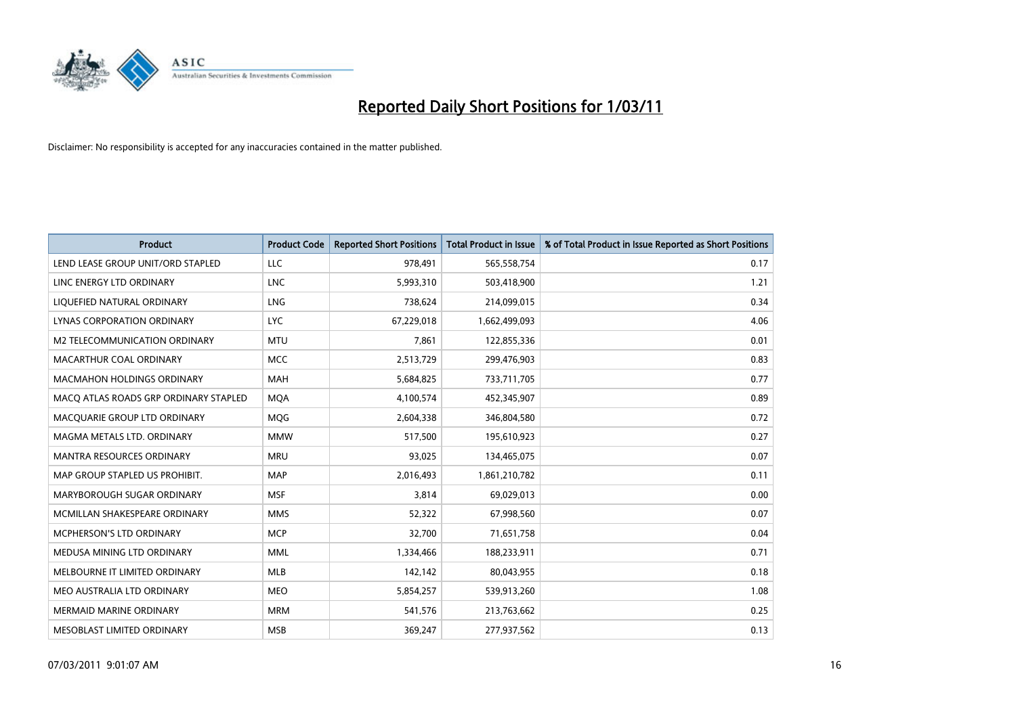

| <b>Product</b>                        | <b>Product Code</b> | <b>Reported Short Positions</b> | <b>Total Product in Issue</b> | % of Total Product in Issue Reported as Short Positions |
|---------------------------------------|---------------------|---------------------------------|-------------------------------|---------------------------------------------------------|
| LEND LEASE GROUP UNIT/ORD STAPLED     | LLC                 | 978.491                         | 565,558,754                   | 0.17                                                    |
| LINC ENERGY LTD ORDINARY              | <b>LNC</b>          | 5,993,310                       | 503,418,900                   | 1.21                                                    |
| LIQUEFIED NATURAL ORDINARY            | LNG                 | 738,624                         | 214,099,015                   | 0.34                                                    |
| <b>LYNAS CORPORATION ORDINARY</b>     | <b>LYC</b>          | 67,229,018                      | 1,662,499,093                 | 4.06                                                    |
| M2 TELECOMMUNICATION ORDINARY         | <b>MTU</b>          | 7,861                           | 122,855,336                   | 0.01                                                    |
| MACARTHUR COAL ORDINARY               | <b>MCC</b>          | 2,513,729                       | 299,476,903                   | 0.83                                                    |
| MACMAHON HOLDINGS ORDINARY            | <b>MAH</b>          | 5,684,825                       | 733,711,705                   | 0.77                                                    |
| MACO ATLAS ROADS GRP ORDINARY STAPLED | <b>MOA</b>          | 4,100,574                       | 452,345,907                   | 0.89                                                    |
| MACQUARIE GROUP LTD ORDINARY          | MQG                 | 2,604,338                       | 346,804,580                   | 0.72                                                    |
| MAGMA METALS LTD. ORDINARY            | <b>MMW</b>          | 517,500                         | 195,610,923                   | 0.27                                                    |
| MANTRA RESOURCES ORDINARY             | <b>MRU</b>          | 93,025                          | 134,465,075                   | 0.07                                                    |
| MAP GROUP STAPLED US PROHIBIT.        | <b>MAP</b>          | 2,016,493                       | 1,861,210,782                 | 0.11                                                    |
| MARYBOROUGH SUGAR ORDINARY            | <b>MSF</b>          | 3,814                           | 69,029,013                    | 0.00                                                    |
| MCMILLAN SHAKESPEARE ORDINARY         | <b>MMS</b>          | 52,322                          | 67,998,560                    | 0.07                                                    |
| MCPHERSON'S LTD ORDINARY              | <b>MCP</b>          | 32.700                          | 71,651,758                    | 0.04                                                    |
| MEDUSA MINING LTD ORDINARY            | <b>MML</b>          | 1,334,466                       | 188,233,911                   | 0.71                                                    |
| MELBOURNE IT LIMITED ORDINARY         | <b>MLB</b>          | 142,142                         | 80,043,955                    | 0.18                                                    |
| MEO AUSTRALIA LTD ORDINARY            | <b>MEO</b>          | 5,854,257                       | 539,913,260                   | 1.08                                                    |
| <b>MERMAID MARINE ORDINARY</b>        | <b>MRM</b>          | 541,576                         | 213,763,662                   | 0.25                                                    |
| MESOBLAST LIMITED ORDINARY            | <b>MSB</b>          | 369,247                         | 277,937,562                   | 0.13                                                    |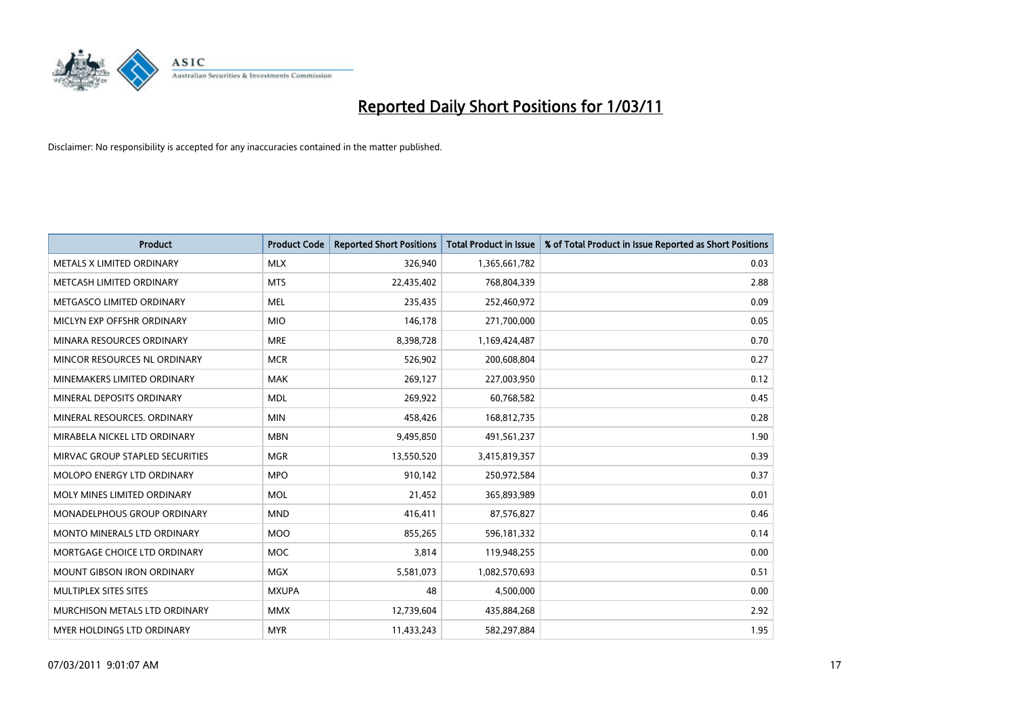

| <b>Product</b>                    | <b>Product Code</b> | <b>Reported Short Positions</b> | Total Product in Issue | % of Total Product in Issue Reported as Short Positions |
|-----------------------------------|---------------------|---------------------------------|------------------------|---------------------------------------------------------|
| METALS X LIMITED ORDINARY         | <b>MLX</b>          | 326,940                         | 1,365,661,782          | 0.03                                                    |
| METCASH LIMITED ORDINARY          | <b>MTS</b>          | 22,435,402                      | 768,804,339            | 2.88                                                    |
| METGASCO LIMITED ORDINARY         | <b>MEL</b>          | 235,435                         | 252,460,972            | 0.09                                                    |
| MICLYN EXP OFFSHR ORDINARY        | <b>MIO</b>          | 146,178                         | 271,700,000            | 0.05                                                    |
| MINARA RESOURCES ORDINARY         | <b>MRE</b>          | 8,398,728                       | 1,169,424,487          | 0.70                                                    |
| MINCOR RESOURCES NL ORDINARY      | <b>MCR</b>          | 526,902                         | 200,608,804            | 0.27                                                    |
| MINEMAKERS LIMITED ORDINARY       | <b>MAK</b>          | 269,127                         | 227,003,950            | 0.12                                                    |
| MINERAL DEPOSITS ORDINARY         | <b>MDL</b>          | 269,922                         | 60,768,582             | 0.45                                                    |
| MINERAL RESOURCES, ORDINARY       | <b>MIN</b>          | 458,426                         | 168,812,735            | 0.28                                                    |
| MIRABELA NICKEL LTD ORDINARY      | <b>MBN</b>          | 9,495,850                       | 491,561,237            | 1.90                                                    |
| MIRVAC GROUP STAPLED SECURITIES   | <b>MGR</b>          | 13,550,520                      | 3,415,819,357          | 0.39                                                    |
| MOLOPO ENERGY LTD ORDINARY        | <b>MPO</b>          | 910,142                         | 250,972,584            | 0.37                                                    |
| MOLY MINES LIMITED ORDINARY       | <b>MOL</b>          | 21,452                          | 365,893,989            | 0.01                                                    |
| MONADELPHOUS GROUP ORDINARY       | <b>MND</b>          | 416,411                         | 87,576,827             | 0.46                                                    |
| MONTO MINERALS LTD ORDINARY       | <b>MOO</b>          | 855,265                         | 596,181,332            | 0.14                                                    |
| MORTGAGE CHOICE LTD ORDINARY      | <b>MOC</b>          | 3,814                           | 119,948,255            | 0.00                                                    |
| MOUNT GIBSON IRON ORDINARY        | MGX                 | 5,581,073                       | 1,082,570,693          | 0.51                                                    |
| MULTIPLEX SITES SITES             | <b>MXUPA</b>        | 48                              | 4,500,000              | 0.00                                                    |
| MURCHISON METALS LTD ORDINARY     | <b>MMX</b>          | 12,739,604                      | 435,884,268            | 2.92                                                    |
| <b>MYER HOLDINGS LTD ORDINARY</b> | <b>MYR</b>          | 11,433,243                      | 582,297,884            | 1.95                                                    |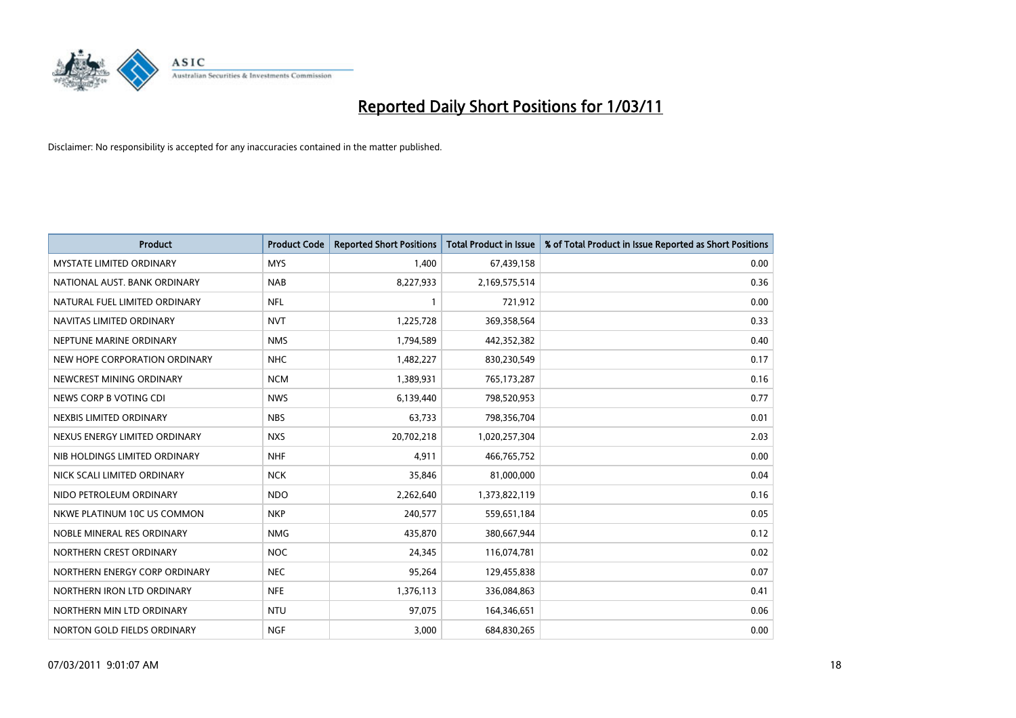

| <b>Product</b>                  | <b>Product Code</b> | <b>Reported Short Positions</b> | <b>Total Product in Issue</b> | % of Total Product in Issue Reported as Short Positions |
|---------------------------------|---------------------|---------------------------------|-------------------------------|---------------------------------------------------------|
| <b>MYSTATE LIMITED ORDINARY</b> | <b>MYS</b>          | 1.400                           | 67,439,158                    | 0.00                                                    |
| NATIONAL AUST. BANK ORDINARY    | <b>NAB</b>          | 8,227,933                       | 2,169,575,514                 | 0.36                                                    |
| NATURAL FUEL LIMITED ORDINARY   | <b>NFL</b>          |                                 | 721,912                       | 0.00                                                    |
| NAVITAS LIMITED ORDINARY        | <b>NVT</b>          | 1,225,728                       | 369,358,564                   | 0.33                                                    |
| NEPTUNE MARINE ORDINARY         | <b>NMS</b>          | 1,794,589                       | 442,352,382                   | 0.40                                                    |
| NEW HOPE CORPORATION ORDINARY   | <b>NHC</b>          | 1,482,227                       | 830,230,549                   | 0.17                                                    |
| NEWCREST MINING ORDINARY        | <b>NCM</b>          | 1,389,931                       | 765,173,287                   | 0.16                                                    |
| NEWS CORP B VOTING CDI          | <b>NWS</b>          | 6,139,440                       | 798,520,953                   | 0.77                                                    |
| NEXBIS LIMITED ORDINARY         | <b>NBS</b>          | 63,733                          | 798,356,704                   | 0.01                                                    |
| NEXUS ENERGY LIMITED ORDINARY   | <b>NXS</b>          | 20,702,218                      | 1,020,257,304                 | 2.03                                                    |
| NIB HOLDINGS LIMITED ORDINARY   | <b>NHF</b>          | 4,911                           | 466,765,752                   | 0.00                                                    |
| NICK SCALI LIMITED ORDINARY     | <b>NCK</b>          | 35,846                          | 81,000,000                    | 0.04                                                    |
| NIDO PETROLEUM ORDINARY         | <b>NDO</b>          | 2,262,640                       | 1,373,822,119                 | 0.16                                                    |
| NKWE PLATINUM 10C US COMMON     | <b>NKP</b>          | 240,577                         | 559,651,184                   | 0.05                                                    |
| NOBLE MINERAL RES ORDINARY      | <b>NMG</b>          | 435.870                         | 380,667,944                   | 0.12                                                    |
| NORTHERN CREST ORDINARY         | <b>NOC</b>          | 24,345                          | 116,074,781                   | 0.02                                                    |
| NORTHERN ENERGY CORP ORDINARY   | <b>NEC</b>          | 95,264                          | 129,455,838                   | 0.07                                                    |
| NORTHERN IRON LTD ORDINARY      | <b>NFE</b>          | 1,376,113                       | 336,084,863                   | 0.41                                                    |
| NORTHERN MIN LTD ORDINARY       | <b>NTU</b>          | 97,075                          | 164,346,651                   | 0.06                                                    |
| NORTON GOLD FIELDS ORDINARY     | <b>NGF</b>          | 3,000                           | 684,830,265                   | 0.00                                                    |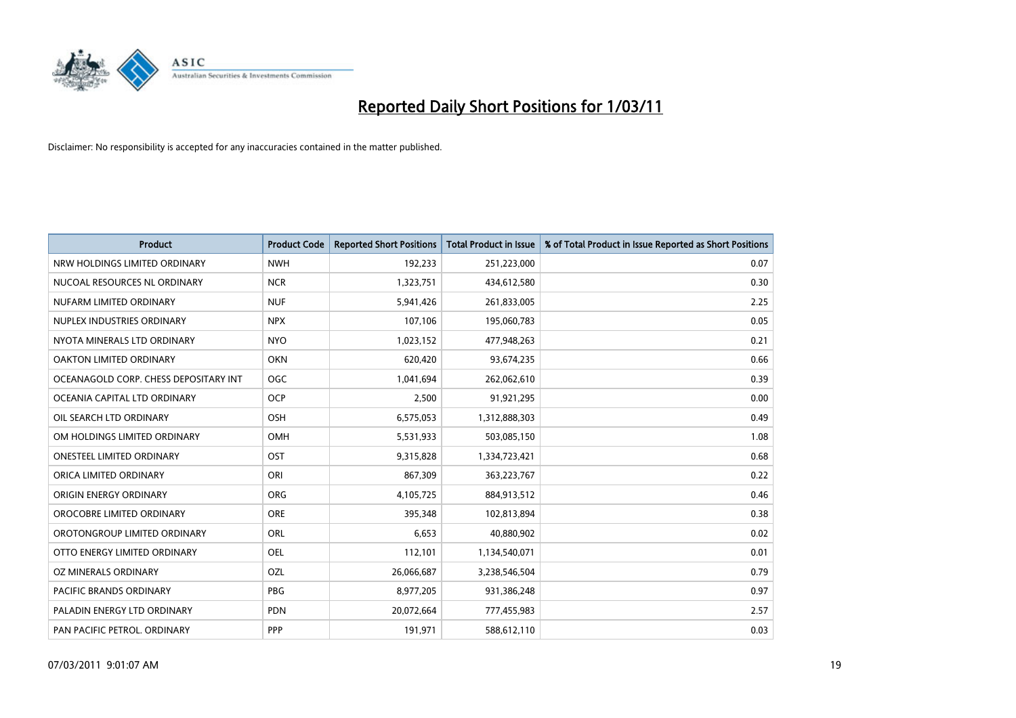

| <b>Product</b>                        | <b>Product Code</b> | <b>Reported Short Positions</b> | <b>Total Product in Issue</b> | % of Total Product in Issue Reported as Short Positions |
|---------------------------------------|---------------------|---------------------------------|-------------------------------|---------------------------------------------------------|
| NRW HOLDINGS LIMITED ORDINARY         | <b>NWH</b>          | 192,233                         | 251,223,000                   | 0.07                                                    |
| NUCOAL RESOURCES NL ORDINARY          | <b>NCR</b>          | 1,323,751                       | 434,612,580                   | 0.30                                                    |
| NUFARM LIMITED ORDINARY               | <b>NUF</b>          | 5,941,426                       | 261,833,005                   | 2.25                                                    |
| NUPLEX INDUSTRIES ORDINARY            | <b>NPX</b>          | 107,106                         | 195,060,783                   | 0.05                                                    |
| NYOTA MINERALS LTD ORDINARY           | <b>NYO</b>          | 1,023,152                       | 477,948,263                   | 0.21                                                    |
| <b>OAKTON LIMITED ORDINARY</b>        | <b>OKN</b>          | 620,420                         | 93,674,235                    | 0.66                                                    |
| OCEANAGOLD CORP. CHESS DEPOSITARY INT | OGC                 | 1,041,694                       | 262,062,610                   | 0.39                                                    |
| OCEANIA CAPITAL LTD ORDINARY          | <b>OCP</b>          | 2,500                           | 91,921,295                    | 0.00                                                    |
| OIL SEARCH LTD ORDINARY               | OSH                 | 6,575,053                       | 1,312,888,303                 | 0.49                                                    |
| OM HOLDINGS LIMITED ORDINARY          | OMH                 | 5,531,933                       | 503,085,150                   | 1.08                                                    |
| ONESTEEL LIMITED ORDINARY             | OST                 | 9,315,828                       | 1,334,723,421                 | 0.68                                                    |
| ORICA LIMITED ORDINARY                | ORI                 | 867,309                         | 363,223,767                   | 0.22                                                    |
| ORIGIN ENERGY ORDINARY                | <b>ORG</b>          | 4,105,725                       | 884,913,512                   | 0.46                                                    |
| OROCOBRE LIMITED ORDINARY             | <b>ORE</b>          | 395,348                         | 102,813,894                   | 0.38                                                    |
| OROTONGROUP LIMITED ORDINARY          | ORL                 | 6,653                           | 40,880,902                    | 0.02                                                    |
| OTTO ENERGY LIMITED ORDINARY          | <b>OEL</b>          | 112,101                         | 1,134,540,071                 | 0.01                                                    |
| OZ MINERALS ORDINARY                  | OZL                 | 26,066,687                      | 3,238,546,504                 | 0.79                                                    |
| PACIFIC BRANDS ORDINARY               | <b>PBG</b>          | 8,977,205                       | 931,386,248                   | 0.97                                                    |
| PALADIN ENERGY LTD ORDINARY           | <b>PDN</b>          | 20,072,664                      | 777,455,983                   | 2.57                                                    |
| PAN PACIFIC PETROL. ORDINARY          | PPP                 | 191,971                         | 588,612,110                   | 0.03                                                    |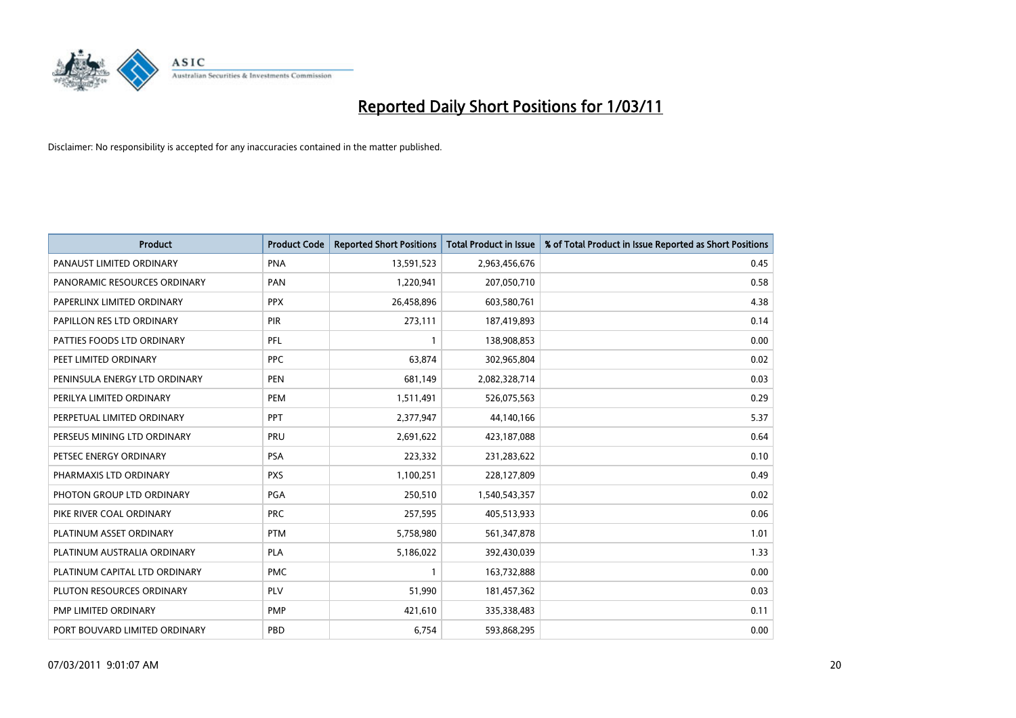

| <b>Product</b>                | <b>Product Code</b> | <b>Reported Short Positions</b> | <b>Total Product in Issue</b> | % of Total Product in Issue Reported as Short Positions |
|-------------------------------|---------------------|---------------------------------|-------------------------------|---------------------------------------------------------|
| PANAUST LIMITED ORDINARY      | <b>PNA</b>          | 13,591,523                      | 2,963,456,676                 | 0.45                                                    |
| PANORAMIC RESOURCES ORDINARY  | PAN                 | 1,220,941                       | 207,050,710                   | 0.58                                                    |
| PAPERLINX LIMITED ORDINARY    | <b>PPX</b>          | 26,458,896                      | 603,580,761                   | 4.38                                                    |
| PAPILLON RES LTD ORDINARY     | PIR                 | 273,111                         | 187,419,893                   | 0.14                                                    |
| PATTIES FOODS LTD ORDINARY    | PFL                 |                                 | 138,908,853                   | 0.00                                                    |
| PEET LIMITED ORDINARY         | <b>PPC</b>          | 63,874                          | 302,965,804                   | 0.02                                                    |
| PENINSULA ENERGY LTD ORDINARY | <b>PEN</b>          | 681,149                         | 2,082,328,714                 | 0.03                                                    |
| PERILYA LIMITED ORDINARY      | PEM                 | 1,511,491                       | 526,075,563                   | 0.29                                                    |
| PERPETUAL LIMITED ORDINARY    | PPT                 | 2,377,947                       | 44,140,166                    | 5.37                                                    |
| PERSEUS MINING LTD ORDINARY   | PRU                 | 2,691,622                       | 423,187,088                   | 0.64                                                    |
| PETSEC ENERGY ORDINARY        | <b>PSA</b>          | 223,332                         | 231,283,622                   | 0.10                                                    |
| PHARMAXIS LTD ORDINARY        | <b>PXS</b>          | 1,100,251                       | 228,127,809                   | 0.49                                                    |
| PHOTON GROUP LTD ORDINARY     | PGA                 | 250,510                         | 1,540,543,357                 | 0.02                                                    |
| PIKE RIVER COAL ORDINARY      | <b>PRC</b>          | 257,595                         | 405,513,933                   | 0.06                                                    |
| PLATINUM ASSET ORDINARY       | <b>PTM</b>          | 5,758,980                       | 561,347,878                   | 1.01                                                    |
| PLATINUM AUSTRALIA ORDINARY   | <b>PLA</b>          | 5,186,022                       | 392,430,039                   | 1.33                                                    |
| PLATINUM CAPITAL LTD ORDINARY | <b>PMC</b>          |                                 | 163,732,888                   | 0.00                                                    |
| PLUTON RESOURCES ORDINARY     | PLV                 | 51,990                          | 181,457,362                   | 0.03                                                    |
| PMP LIMITED ORDINARY          | <b>PMP</b>          | 421,610                         | 335,338,483                   | 0.11                                                    |
| PORT BOUVARD LIMITED ORDINARY | PBD                 | 6,754                           | 593,868,295                   | 0.00                                                    |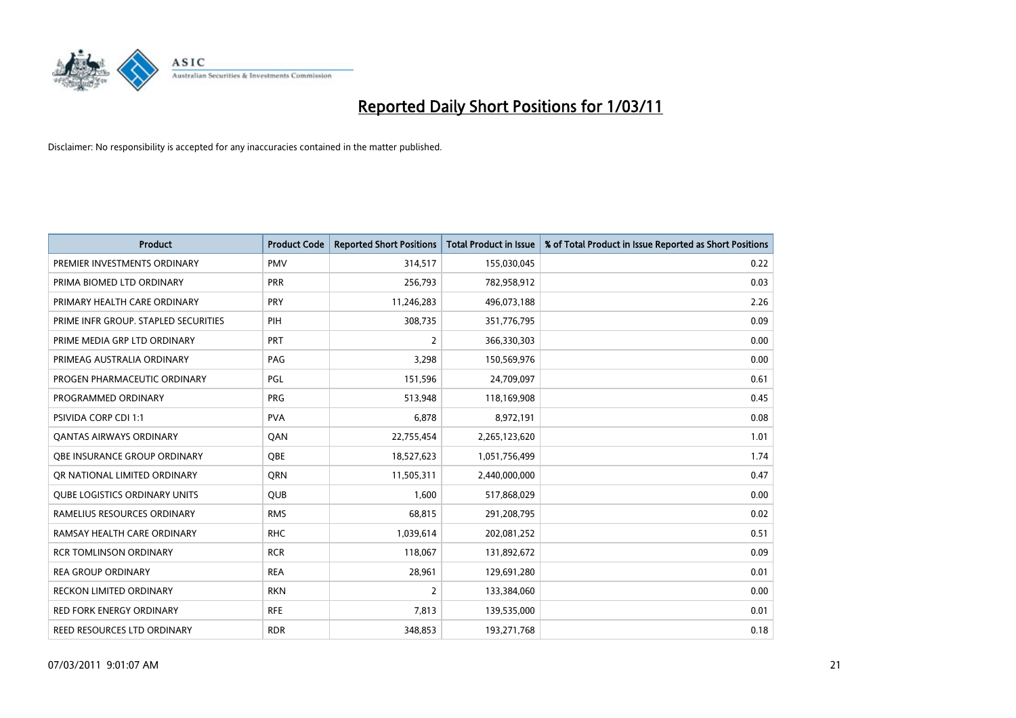

| <b>Product</b>                       | <b>Product Code</b> | <b>Reported Short Positions</b> | <b>Total Product in Issue</b> | % of Total Product in Issue Reported as Short Positions |
|--------------------------------------|---------------------|---------------------------------|-------------------------------|---------------------------------------------------------|
| PREMIER INVESTMENTS ORDINARY         | <b>PMV</b>          | 314,517                         | 155,030,045                   | 0.22                                                    |
| PRIMA BIOMED LTD ORDINARY            | <b>PRR</b>          | 256,793                         | 782,958,912                   | 0.03                                                    |
| PRIMARY HEALTH CARE ORDINARY         | <b>PRY</b>          | 11,246,283                      | 496,073,188                   | 2.26                                                    |
| PRIME INFR GROUP. STAPLED SECURITIES | PIH                 | 308,735                         | 351,776,795                   | 0.09                                                    |
| PRIME MEDIA GRP LTD ORDINARY         | <b>PRT</b>          | 2                               | 366,330,303                   | 0.00                                                    |
| PRIMEAG AUSTRALIA ORDINARY           | PAG                 | 3,298                           | 150,569,976                   | 0.00                                                    |
| PROGEN PHARMACEUTIC ORDINARY         | <b>PGL</b>          | 151,596                         | 24,709,097                    | 0.61                                                    |
| PROGRAMMED ORDINARY                  | <b>PRG</b>          | 513,948                         | 118,169,908                   | 0.45                                                    |
| <b>PSIVIDA CORP CDI 1:1</b>          | <b>PVA</b>          | 6.878                           | 8,972,191                     | 0.08                                                    |
| <b>QANTAS AIRWAYS ORDINARY</b>       | QAN                 | 22,755,454                      | 2,265,123,620                 | 1.01                                                    |
| <b>OBE INSURANCE GROUP ORDINARY</b>  | <b>OBE</b>          | 18,527,623                      | 1,051,756,499                 | 1.74                                                    |
| OR NATIONAL LIMITED ORDINARY         | <b>ORN</b>          | 11,505,311                      | 2,440,000,000                 | 0.47                                                    |
| <b>QUBE LOGISTICS ORDINARY UNITS</b> | <b>QUB</b>          | 1,600                           | 517,868,029                   | 0.00                                                    |
| RAMELIUS RESOURCES ORDINARY          | <b>RMS</b>          | 68,815                          | 291,208,795                   | 0.02                                                    |
| RAMSAY HEALTH CARE ORDINARY          | <b>RHC</b>          | 1,039,614                       | 202,081,252                   | 0.51                                                    |
| <b>RCR TOMLINSON ORDINARY</b>        | <b>RCR</b>          | 118,067                         | 131,892,672                   | 0.09                                                    |
| <b>REA GROUP ORDINARY</b>            | <b>REA</b>          | 28,961                          | 129,691,280                   | 0.01                                                    |
| RECKON LIMITED ORDINARY              | <b>RKN</b>          | 2                               | 133,384,060                   | 0.00                                                    |
| <b>RED FORK ENERGY ORDINARY</b>      | <b>RFE</b>          | 7,813                           | 139,535,000                   | 0.01                                                    |
| REED RESOURCES LTD ORDINARY          | <b>RDR</b>          | 348,853                         | 193,271,768                   | 0.18                                                    |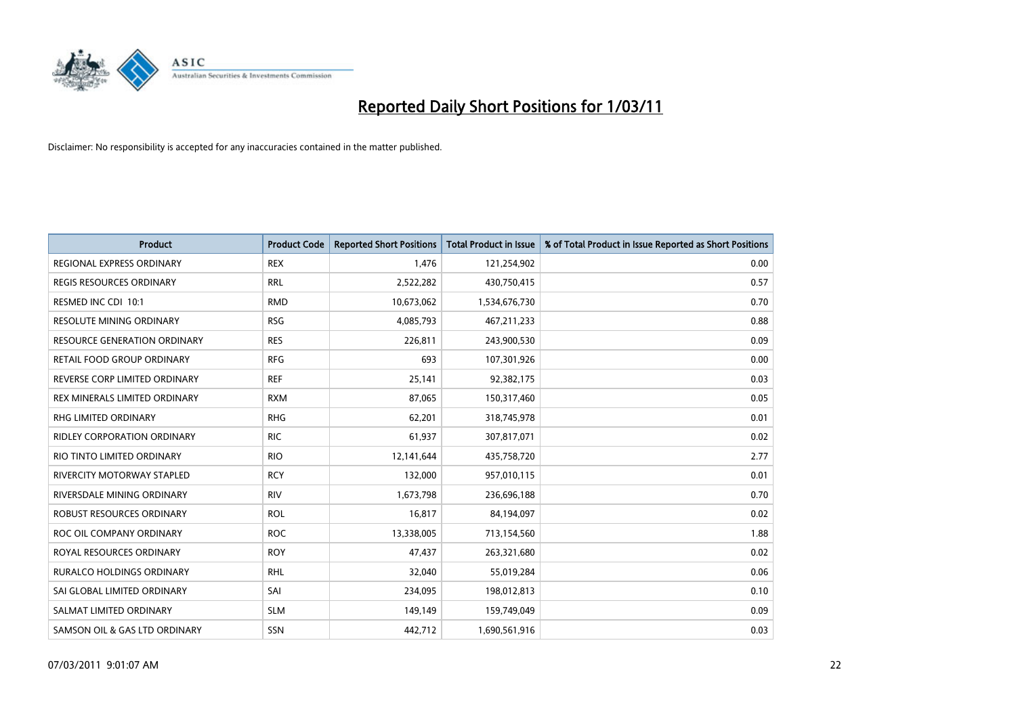

| <b>Product</b>                      | <b>Product Code</b> | <b>Reported Short Positions</b> | Total Product in Issue | % of Total Product in Issue Reported as Short Positions |
|-------------------------------------|---------------------|---------------------------------|------------------------|---------------------------------------------------------|
| <b>REGIONAL EXPRESS ORDINARY</b>    | <b>REX</b>          | 1,476                           | 121,254,902            | 0.00                                                    |
| REGIS RESOURCES ORDINARY            | <b>RRL</b>          | 2,522,282                       | 430,750,415            | 0.57                                                    |
| RESMED INC CDI 10:1                 | <b>RMD</b>          | 10,673,062                      | 1,534,676,730          | 0.70                                                    |
| RESOLUTE MINING ORDINARY            | <b>RSG</b>          | 4,085,793                       | 467, 211, 233          | 0.88                                                    |
| <b>RESOURCE GENERATION ORDINARY</b> | <b>RES</b>          | 226,811                         | 243,900,530            | 0.09                                                    |
| RETAIL FOOD GROUP ORDINARY          | <b>RFG</b>          | 693                             | 107,301,926            | 0.00                                                    |
| REVERSE CORP LIMITED ORDINARY       | <b>REF</b>          | 25,141                          | 92,382,175             | 0.03                                                    |
| REX MINERALS LIMITED ORDINARY       | <b>RXM</b>          | 87,065                          | 150,317,460            | 0.05                                                    |
| RHG LIMITED ORDINARY                | <b>RHG</b>          | 62,201                          | 318,745,978            | 0.01                                                    |
| <b>RIDLEY CORPORATION ORDINARY</b>  | <b>RIC</b>          | 61,937                          | 307,817,071            | 0.02                                                    |
| RIO TINTO LIMITED ORDINARY          | <b>RIO</b>          | 12,141,644                      | 435,758,720            | 2.77                                                    |
| RIVERCITY MOTORWAY STAPLED          | <b>RCY</b>          | 132,000                         | 957,010,115            | 0.01                                                    |
| RIVERSDALE MINING ORDINARY          | <b>RIV</b>          | 1,673,798                       | 236,696,188            | 0.70                                                    |
| <b>ROBUST RESOURCES ORDINARY</b>    | <b>ROL</b>          | 16,817                          | 84,194,097             | 0.02                                                    |
| ROC OIL COMPANY ORDINARY            | <b>ROC</b>          | 13,338,005                      | 713,154,560            | 1.88                                                    |
| ROYAL RESOURCES ORDINARY            | <b>ROY</b>          | 47,437                          | 263,321,680            | 0.02                                                    |
| <b>RURALCO HOLDINGS ORDINARY</b>    | <b>RHL</b>          | 32,040                          | 55,019,284             | 0.06                                                    |
| SAI GLOBAL LIMITED ORDINARY         | SAI                 | 234,095                         | 198,012,813            | 0.10                                                    |
| SALMAT LIMITED ORDINARY             | <b>SLM</b>          | 149,149                         | 159,749,049            | 0.09                                                    |
| SAMSON OIL & GAS LTD ORDINARY       | SSN                 | 442.712                         | 1,690,561,916          | 0.03                                                    |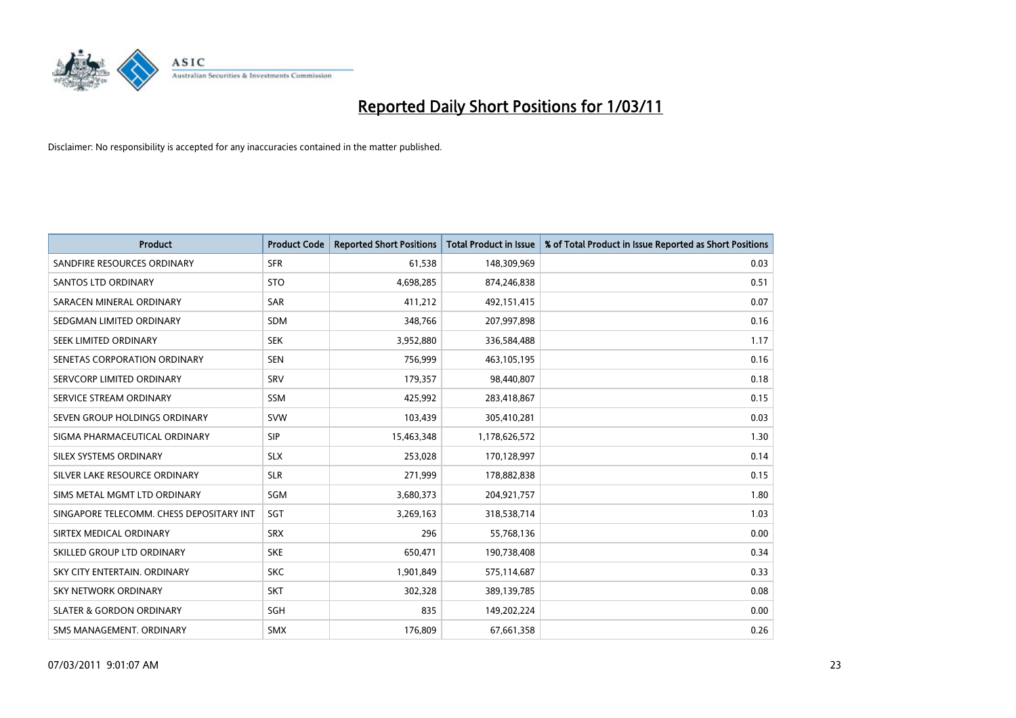

| <b>Product</b>                           | <b>Product Code</b> | <b>Reported Short Positions</b> | <b>Total Product in Issue</b> | % of Total Product in Issue Reported as Short Positions |
|------------------------------------------|---------------------|---------------------------------|-------------------------------|---------------------------------------------------------|
| SANDFIRE RESOURCES ORDINARY              | <b>SFR</b>          | 61,538                          | 148,309,969                   | 0.03                                                    |
| SANTOS LTD ORDINARY                      | <b>STO</b>          | 4,698,285                       | 874,246,838                   | 0.51                                                    |
| SARACEN MINERAL ORDINARY                 | <b>SAR</b>          | 411,212                         | 492,151,415                   | 0.07                                                    |
| SEDGMAN LIMITED ORDINARY                 | <b>SDM</b>          | 348,766                         | 207,997,898                   | 0.16                                                    |
| SEEK LIMITED ORDINARY                    | <b>SEK</b>          | 3,952,880                       | 336,584,488                   | 1.17                                                    |
| SENETAS CORPORATION ORDINARY             | <b>SEN</b>          | 756,999                         | 463,105,195                   | 0.16                                                    |
| SERVCORP LIMITED ORDINARY                | SRV                 | 179.357                         | 98,440,807                    | 0.18                                                    |
| SERVICE STREAM ORDINARY                  | <b>SSM</b>          | 425,992                         | 283,418,867                   | 0.15                                                    |
| SEVEN GROUP HOLDINGS ORDINARY            | <b>SVW</b>          | 103,439                         | 305,410,281                   | 0.03                                                    |
| SIGMA PHARMACEUTICAL ORDINARY            | <b>SIP</b>          | 15,463,348                      | 1,178,626,572                 | 1.30                                                    |
| SILEX SYSTEMS ORDINARY                   | <b>SLX</b>          | 253,028                         | 170,128,997                   | 0.14                                                    |
| SILVER LAKE RESOURCE ORDINARY            | <b>SLR</b>          | 271,999                         | 178,882,838                   | 0.15                                                    |
| SIMS METAL MGMT LTD ORDINARY             | SGM                 | 3,680,373                       | 204,921,757                   | 1.80                                                    |
| SINGAPORE TELECOMM. CHESS DEPOSITARY INT | SGT                 | 3,269,163                       | 318,538,714                   | 1.03                                                    |
| SIRTEX MEDICAL ORDINARY                  | <b>SRX</b>          | 296                             | 55,768,136                    | 0.00                                                    |
| SKILLED GROUP LTD ORDINARY               | <b>SKE</b>          | 650,471                         | 190,738,408                   | 0.34                                                    |
| SKY CITY ENTERTAIN, ORDINARY             | <b>SKC</b>          | 1,901,849                       | 575,114,687                   | 0.33                                                    |
| SKY NETWORK ORDINARY                     | <b>SKT</b>          | 302,328                         | 389,139,785                   | 0.08                                                    |
| <b>SLATER &amp; GORDON ORDINARY</b>      | SGH                 | 835                             | 149,202,224                   | 0.00                                                    |
| SMS MANAGEMENT, ORDINARY                 | <b>SMX</b>          | 176.809                         | 67,661,358                    | 0.26                                                    |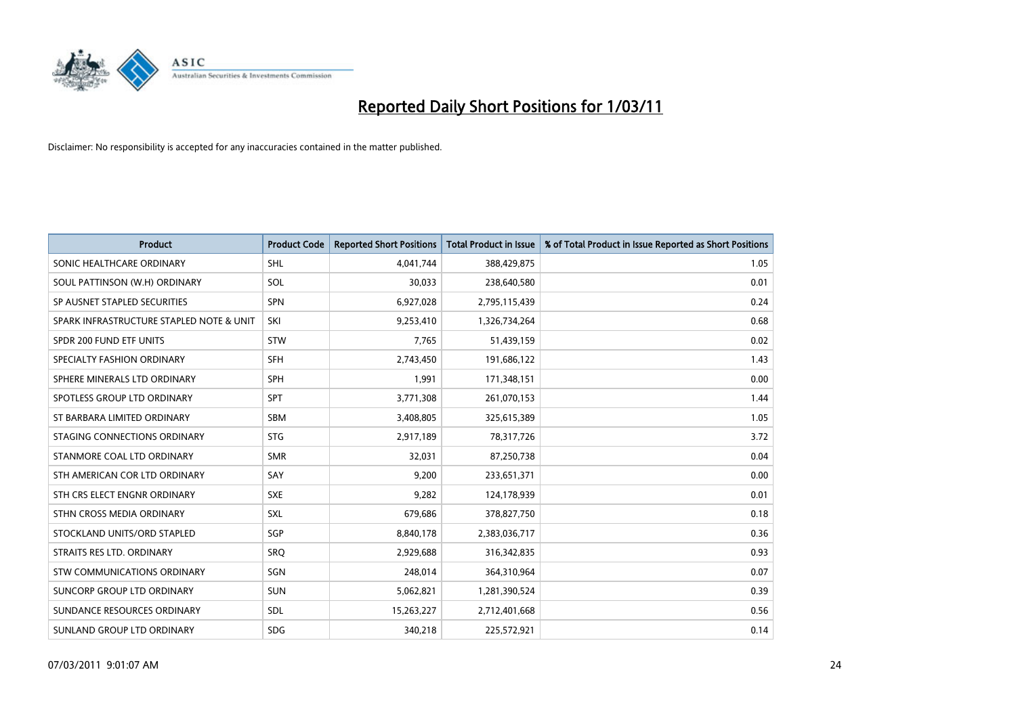

| <b>Product</b>                           | <b>Product Code</b> | <b>Reported Short Positions</b> | Total Product in Issue | % of Total Product in Issue Reported as Short Positions |
|------------------------------------------|---------------------|---------------------------------|------------------------|---------------------------------------------------------|
| SONIC HEALTHCARE ORDINARY                | <b>SHL</b>          | 4,041,744                       | 388,429,875            | 1.05                                                    |
| SOUL PATTINSON (W.H) ORDINARY            | SOL                 | 30,033                          | 238,640,580            | 0.01                                                    |
| SP AUSNET STAPLED SECURITIES             | <b>SPN</b>          | 6,927,028                       | 2,795,115,439          | 0.24                                                    |
| SPARK INFRASTRUCTURE STAPLED NOTE & UNIT | SKI                 | 9,253,410                       | 1,326,734,264          | 0.68                                                    |
| SPDR 200 FUND ETF UNITS                  | <b>STW</b>          | 7,765                           | 51,439,159             | 0.02                                                    |
| SPECIALTY FASHION ORDINARY               | <b>SFH</b>          | 2,743,450                       | 191,686,122            | 1.43                                                    |
| SPHERE MINERALS LTD ORDINARY             | <b>SPH</b>          | 1,991                           | 171,348,151            | 0.00                                                    |
| SPOTLESS GROUP LTD ORDINARY              | <b>SPT</b>          | 3,771,308                       | 261,070,153            | 1.44                                                    |
| ST BARBARA LIMITED ORDINARY              | SBM                 | 3,408,805                       | 325,615,389            | 1.05                                                    |
| STAGING CONNECTIONS ORDINARY             | <b>STG</b>          | 2,917,189                       | 78,317,726             | 3.72                                                    |
| STANMORE COAL LTD ORDINARY               | <b>SMR</b>          | 32,031                          | 87,250,738             | 0.04                                                    |
| STH AMERICAN COR LTD ORDINARY            | SAY                 | 9,200                           | 233,651,371            | 0.00                                                    |
| STH CRS ELECT ENGNR ORDINARY             | <b>SXE</b>          | 9,282                           | 124,178,939            | 0.01                                                    |
| STHN CROSS MEDIA ORDINARY                | <b>SXL</b>          | 679,686                         | 378,827,750            | 0.18                                                    |
| STOCKLAND UNITS/ORD STAPLED              | SGP                 | 8,840,178                       | 2,383,036,717          | 0.36                                                    |
| STRAITS RES LTD. ORDINARY                | SRO                 | 2,929,688                       | 316, 342, 835          | 0.93                                                    |
| <b>STW COMMUNICATIONS ORDINARY</b>       | SGN                 | 248,014                         | 364,310,964            | 0.07                                                    |
| SUNCORP GROUP LTD ORDINARY               | <b>SUN</b>          | 5,062,821                       | 1,281,390,524          | 0.39                                                    |
| SUNDANCE RESOURCES ORDINARY              | <b>SDL</b>          | 15,263,227                      | 2,712,401,668          | 0.56                                                    |
| SUNLAND GROUP LTD ORDINARY               | <b>SDG</b>          | 340,218                         | 225,572,921            | 0.14                                                    |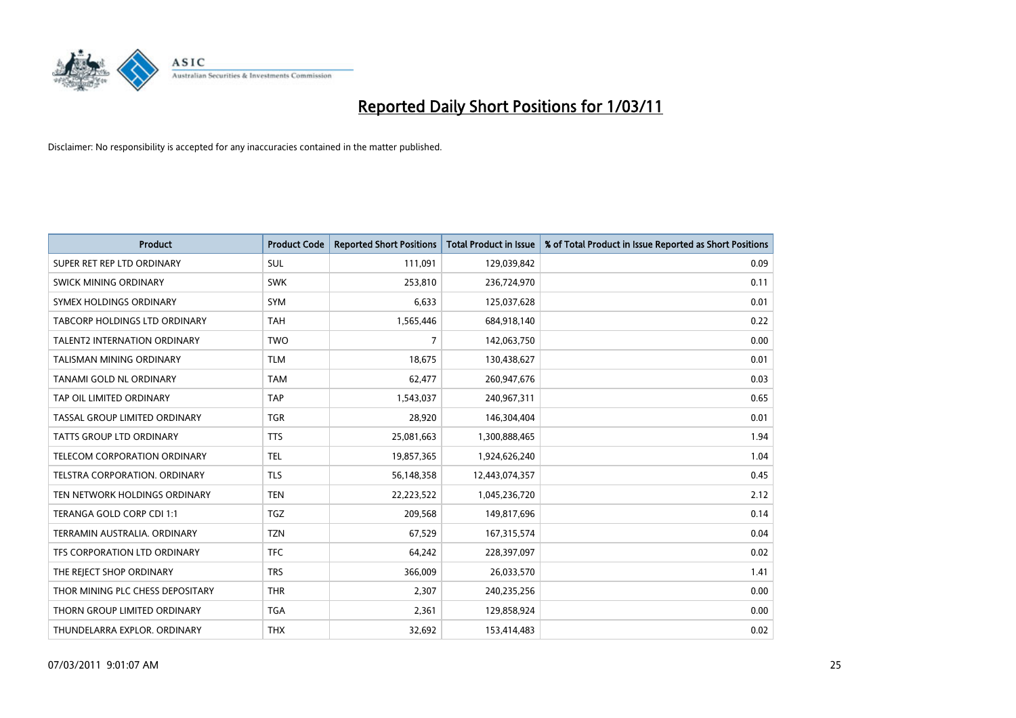

| <b>Product</b>                       | <b>Product Code</b> | <b>Reported Short Positions</b> | <b>Total Product in Issue</b> | % of Total Product in Issue Reported as Short Positions |
|--------------------------------------|---------------------|---------------------------------|-------------------------------|---------------------------------------------------------|
| SUPER RET REP LTD ORDINARY           | <b>SUL</b>          | 111,091                         | 129,039,842                   | 0.09                                                    |
| SWICK MINING ORDINARY                | <b>SWK</b>          | 253,810                         | 236,724,970                   | 0.11                                                    |
| <b>SYMEX HOLDINGS ORDINARY</b>       | <b>SYM</b>          | 6,633                           | 125,037,628                   | 0.01                                                    |
| TABCORP HOLDINGS LTD ORDINARY        | <b>TAH</b>          | 1,565,446                       | 684,918,140                   | 0.22                                                    |
| <b>TALENT2 INTERNATION ORDINARY</b>  | <b>TWO</b>          | $\overline{7}$                  | 142,063,750                   | 0.00                                                    |
| TALISMAN MINING ORDINARY             | <b>TLM</b>          | 18,675                          | 130,438,627                   | 0.01                                                    |
| TANAMI GOLD NL ORDINARY              | <b>TAM</b>          | 62,477                          | 260,947,676                   | 0.03                                                    |
| TAP OIL LIMITED ORDINARY             | <b>TAP</b>          | 1,543,037                       | 240,967,311                   | 0.65                                                    |
| TASSAL GROUP LIMITED ORDINARY        | <b>TGR</b>          | 28,920                          | 146,304,404                   | 0.01                                                    |
| <b>TATTS GROUP LTD ORDINARY</b>      | <b>TTS</b>          | 25,081,663                      | 1,300,888,465                 | 1.94                                                    |
| TELECOM CORPORATION ORDINARY         | <b>TEL</b>          | 19,857,365                      | 1,924,626,240                 | 1.04                                                    |
| <b>TELSTRA CORPORATION, ORDINARY</b> | <b>TLS</b>          | 56,148,358                      | 12,443,074,357                | 0.45                                                    |
| TEN NETWORK HOLDINGS ORDINARY        | <b>TEN</b>          | 22,223,522                      | 1,045,236,720                 | 2.12                                                    |
| TERANGA GOLD CORP CDI 1:1            | <b>TGZ</b>          | 209,568                         | 149,817,696                   | 0.14                                                    |
| TERRAMIN AUSTRALIA, ORDINARY         | <b>TZN</b>          | 67,529                          | 167,315,574                   | 0.04                                                    |
| TFS CORPORATION LTD ORDINARY         | <b>TFC</b>          | 64,242                          | 228,397,097                   | 0.02                                                    |
| THE REJECT SHOP ORDINARY             | <b>TRS</b>          | 366,009                         | 26,033,570                    | 1.41                                                    |
| THOR MINING PLC CHESS DEPOSITARY     | <b>THR</b>          | 2,307                           | 240,235,256                   | 0.00                                                    |
| THORN GROUP LIMITED ORDINARY         | <b>TGA</b>          | 2,361                           | 129,858,924                   | 0.00                                                    |
| THUNDELARRA EXPLOR. ORDINARY         | <b>THX</b>          | 32,692                          | 153,414,483                   | 0.02                                                    |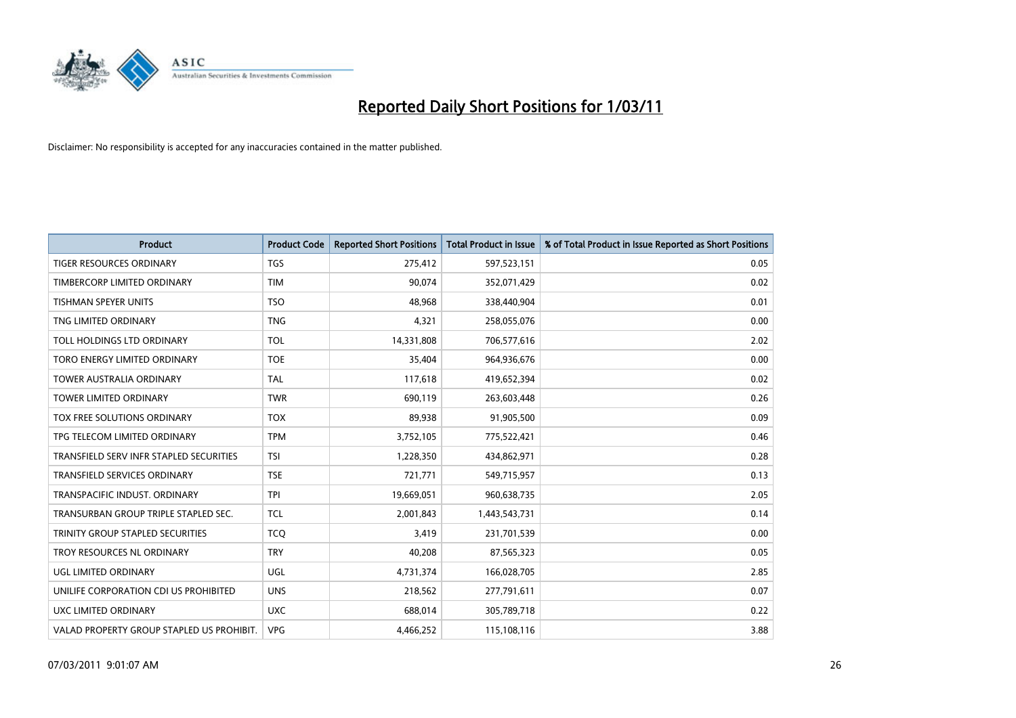

| <b>Product</b>                            | <b>Product Code</b> | <b>Reported Short Positions</b> | Total Product in Issue | % of Total Product in Issue Reported as Short Positions |
|-------------------------------------------|---------------------|---------------------------------|------------------------|---------------------------------------------------------|
| <b>TIGER RESOURCES ORDINARY</b>           | <b>TGS</b>          | 275,412                         | 597,523,151            | 0.05                                                    |
| TIMBERCORP LIMITED ORDINARY               | <b>TIM</b>          | 90,074                          | 352,071,429            | 0.02                                                    |
| <b>TISHMAN SPEYER UNITS</b>               | <b>TSO</b>          | 48,968                          | 338,440,904            | 0.01                                                    |
| TNG LIMITED ORDINARY                      | <b>TNG</b>          | 4,321                           | 258,055,076            | 0.00                                                    |
| <b>TOLL HOLDINGS LTD ORDINARY</b>         | <b>TOL</b>          | 14,331,808                      | 706,577,616            | 2.02                                                    |
| TORO ENERGY LIMITED ORDINARY              | <b>TOE</b>          | 35,404                          | 964,936,676            | 0.00                                                    |
| <b>TOWER AUSTRALIA ORDINARY</b>           | <b>TAL</b>          | 117,618                         | 419,652,394            | 0.02                                                    |
| <b>TOWER LIMITED ORDINARY</b>             | <b>TWR</b>          | 690,119                         | 263,603,448            | 0.26                                                    |
| TOX FREE SOLUTIONS ORDINARY               | <b>TOX</b>          | 89,938                          | 91,905,500             | 0.09                                                    |
| TPG TELECOM LIMITED ORDINARY              | <b>TPM</b>          | 3,752,105                       | 775,522,421            | 0.46                                                    |
| TRANSFIELD SERV INFR STAPLED SECURITIES   | <b>TSI</b>          | 1,228,350                       | 434,862,971            | 0.28                                                    |
| <b>TRANSFIELD SERVICES ORDINARY</b>       | <b>TSE</b>          | 721,771                         | 549,715,957            | 0.13                                                    |
| TRANSPACIFIC INDUST, ORDINARY             | <b>TPI</b>          | 19,669,051                      | 960,638,735            | 2.05                                                    |
| TRANSURBAN GROUP TRIPLE STAPLED SEC.      | <b>TCL</b>          | 2,001,843                       | 1,443,543,731          | 0.14                                                    |
| TRINITY GROUP STAPLED SECURITIES          | <b>TCQ</b>          | 3,419                           | 231,701,539            | 0.00                                                    |
| TROY RESOURCES NL ORDINARY                | <b>TRY</b>          | 40,208                          | 87,565,323             | 0.05                                                    |
| UGL LIMITED ORDINARY                      | UGL                 | 4,731,374                       | 166,028,705            | 2.85                                                    |
| UNILIFE CORPORATION CDI US PROHIBITED     | <b>UNS</b>          | 218,562                         | 277,791,611            | 0.07                                                    |
| UXC LIMITED ORDINARY                      | <b>UXC</b>          | 688,014                         | 305,789,718            | 0.22                                                    |
| VALAD PROPERTY GROUP STAPLED US PROHIBIT. | <b>VPG</b>          | 4,466,252                       | 115,108,116            | 3.88                                                    |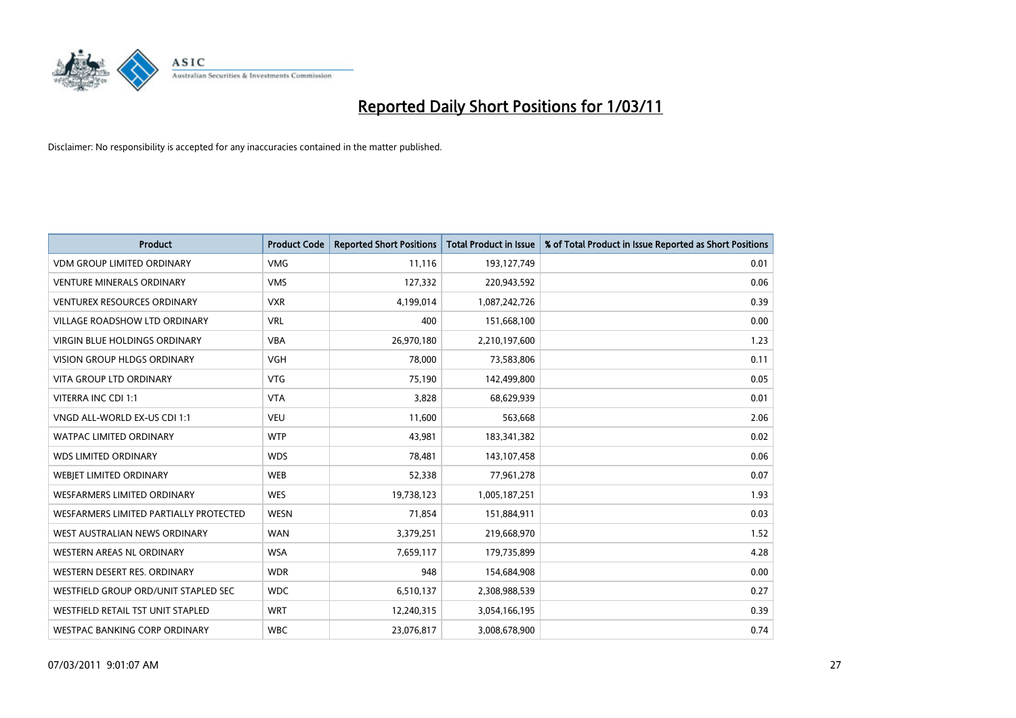

| <b>Product</b>                         | <b>Product Code</b> | <b>Reported Short Positions</b> | <b>Total Product in Issue</b> | % of Total Product in Issue Reported as Short Positions |
|----------------------------------------|---------------------|---------------------------------|-------------------------------|---------------------------------------------------------|
| <b>VDM GROUP LIMITED ORDINARY</b>      | <b>VMG</b>          | 11,116                          | 193,127,749                   | 0.01                                                    |
| <b>VENTURE MINERALS ORDINARY</b>       | <b>VMS</b>          | 127,332                         | 220,943,592                   | 0.06                                                    |
| <b>VENTUREX RESOURCES ORDINARY</b>     | <b>VXR</b>          | 4,199,014                       | 1,087,242,726                 | 0.39                                                    |
| VILLAGE ROADSHOW LTD ORDINARY          | <b>VRL</b>          | 400                             | 151,668,100                   | 0.00                                                    |
| <b>VIRGIN BLUE HOLDINGS ORDINARY</b>   | <b>VBA</b>          | 26,970,180                      | 2,210,197,600                 | 1.23                                                    |
| <b>VISION GROUP HLDGS ORDINARY</b>     | <b>VGH</b>          | 78,000                          | 73,583,806                    | 0.11                                                    |
| <b>VITA GROUP LTD ORDINARY</b>         | <b>VTG</b>          | 75,190                          | 142,499,800                   | 0.05                                                    |
| VITERRA INC CDI 1:1                    | <b>VTA</b>          | 3,828                           | 68,629,939                    | 0.01                                                    |
| VNGD ALL-WORLD EX-US CDI 1:1           | <b>VEU</b>          | 11,600                          | 563,668                       | 2.06                                                    |
| <b>WATPAC LIMITED ORDINARY</b>         | <b>WTP</b>          | 43,981                          | 183,341,382                   | 0.02                                                    |
| <b>WDS LIMITED ORDINARY</b>            | <b>WDS</b>          | 78,481                          | 143,107,458                   | 0.06                                                    |
| WEBIET LIMITED ORDINARY                | <b>WEB</b>          | 52,338                          | 77,961,278                    | 0.07                                                    |
| <b>WESFARMERS LIMITED ORDINARY</b>     | <b>WES</b>          | 19,738,123                      | 1,005,187,251                 | 1.93                                                    |
| WESFARMERS LIMITED PARTIALLY PROTECTED | <b>WESN</b>         | 71,854                          | 151,884,911                   | 0.03                                                    |
| WEST AUSTRALIAN NEWS ORDINARY          | <b>WAN</b>          | 3,379,251                       | 219,668,970                   | 1.52                                                    |
| WESTERN AREAS NL ORDINARY              | <b>WSA</b>          | 7,659,117                       | 179,735,899                   | 4.28                                                    |
| WESTERN DESERT RES. ORDINARY           | <b>WDR</b>          | 948                             | 154,684,908                   | 0.00                                                    |
| WESTFIELD GROUP ORD/UNIT STAPLED SEC   | <b>WDC</b>          | 6,510,137                       | 2,308,988,539                 | 0.27                                                    |
| WESTFIELD RETAIL TST UNIT STAPLED      | <b>WRT</b>          | 12,240,315                      | 3,054,166,195                 | 0.39                                                    |
| WESTPAC BANKING CORP ORDINARY          | <b>WBC</b>          | 23,076,817                      | 3,008,678,900                 | 0.74                                                    |